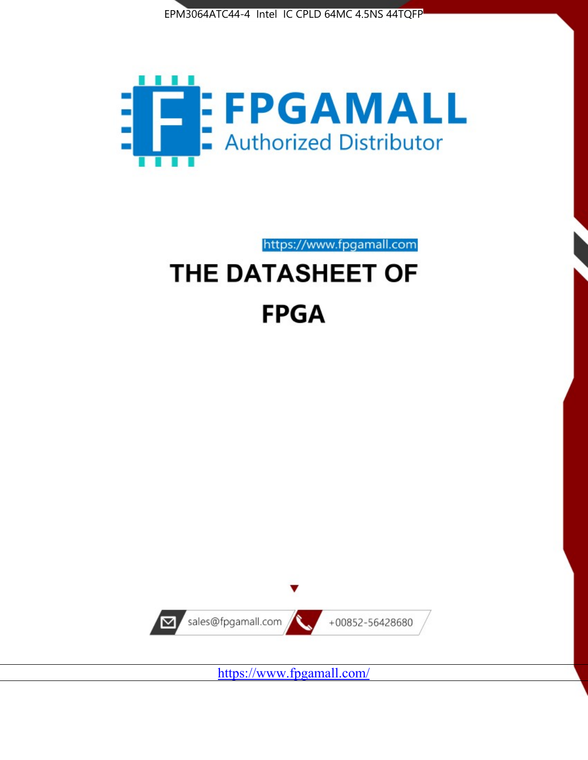



https://www.fpgamall.com

# THE DATASHEET OF **FPGA**



<https://www.fpgamall.com/>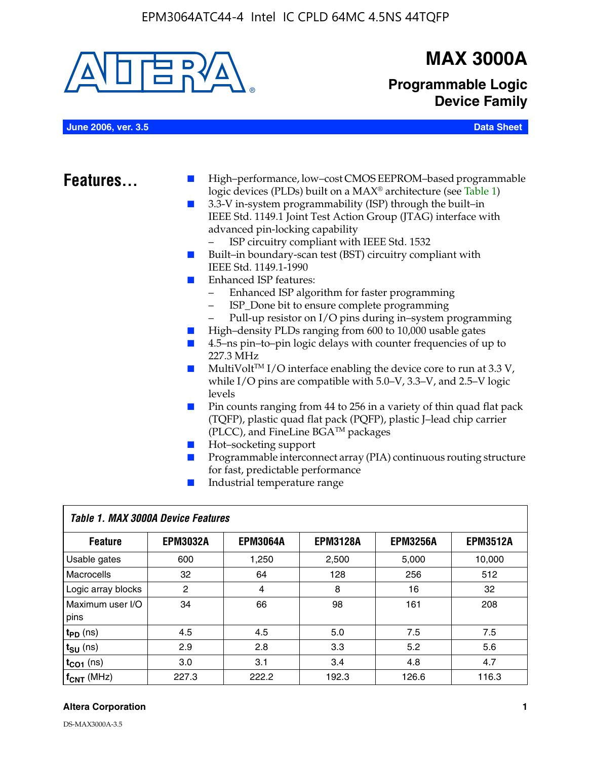

### **MAX 3000A**

**Programmable Logic Device Family**

**June 2006, ver. 3.5 Data Sheet**

- **Features.** High–performance, low–cost CMOS EEPROM–based programmable logic devices (PLDs) built on a MAX® architecture (see Table 1)
	- 3.3-V in-system programmability (ISP) through the built–in IEEE Std. 1149.1 Joint Test Action Group (JTAG) interface with advanced pin-locking capability
		- ISP circuitry compliant with IEEE Std. 1532
	- Built–in boundary-scan test (BST) circuitry compliant with IEEE Std. 1149.1-1990
	- Enhanced ISP features:
		- Enhanced ISP algorithm for faster programming
		- ISP\_Done bit to ensure complete programming
		- Pull-up resistor on I/O pins during in–system programming
	- High–density PLDs ranging from 600 to 10,000 usable gates
	- 4.5–ns pin–to–pin logic delays with counter frequencies of up to 227.3 MHz
	- $\blacksquare$  MultiVolt<sup>TM</sup> I/O interface enabling the device core to run at 3.3 V, while I/O pins are compatible with 5.0–V, 3.3–V, and 2.5–V logic levels
	- Pin counts ranging from 44 to 256 in a variety of thin quad flat pack (TQFP), plastic quad flat pack (PQFP), plastic J–lead chip carrier (PLCC), and FineLine BGATM packages
	- Hot–socketing support
	- Programmable interconnect array (PIA) continuous routing structure for fast, predictable performance
	- Industrial temperature range

| Table 1. MAX 3000A Device Features |                 |                 |                 |                 |                 |  |
|------------------------------------|-----------------|-----------------|-----------------|-----------------|-----------------|--|
| <b>Feature</b>                     | <b>EPM3032A</b> | <b>EPM3064A</b> | <b>EPM3128A</b> | <b>EPM3256A</b> | <b>EPM3512A</b> |  |
| Usable gates                       | 600             | 1,250           | 2,500           | 5,000           | 10,000          |  |
| Macrocells                         | 32              | 64              | 128             | 256             | 512             |  |
| Logic array blocks                 | 2               | 4               | 8               | 16              | 32              |  |
| Maximum user I/O<br>pins           | 34              | 66              | 98              | 161             | 208             |  |
| $t_{PD}$ (ns)                      | 4.5             | 4.5             | 5.0             | 7.5             | 7.5             |  |
| $t_{\text{SU}}$ (ns)               | 2.9             | 2.8             | 3.3             | 5.2             | 5.6             |  |
| $t_{CO1}$ (ns)                     | 3.0             | 3.1             | 3.4             | 4.8             | 4.7             |  |
| $f_{CNT}$ (MHz)                    | 227.3           | 222.2           | 192.3           | 126.6           | 116.3           |  |

#### **Altera Corporation 1**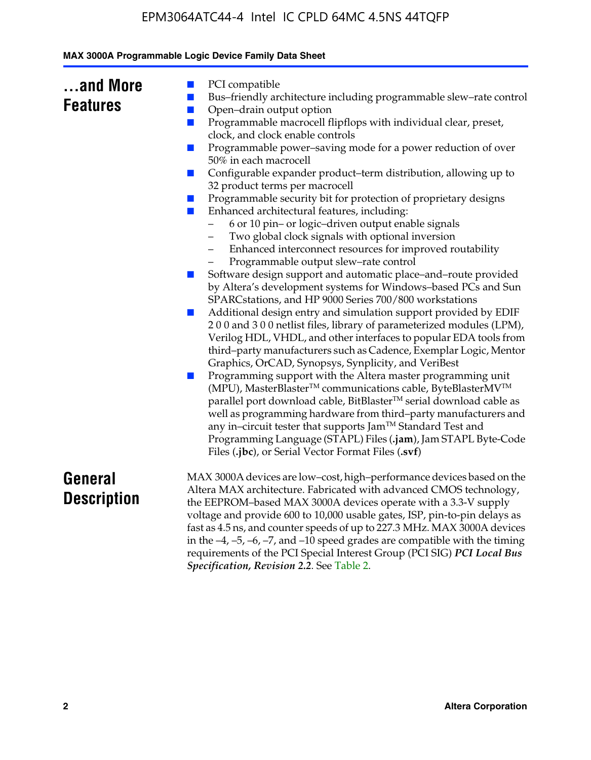|  | MAX 3000A Programmable Logic Device Family Data Sheet |  |  |  |
|--|-------------------------------------------------------|--|--|--|
|--|-------------------------------------------------------|--|--|--|

| and More        |  |
|-----------------|--|
| <b>Features</b> |  |

- PCI compatible
- Bus–friendly architecture including programmable slew–rate control
- Open–drain output option
- Programmable macrocell flipflops with individual clear, preset, clock, and clock enable controls
- Programmable power–saving mode for a power reduction of over 50% in each macrocell
- Configurable expander product–term distribution, allowing up to 32 product terms per macrocell
- Programmable security bit for protection of proprietary designs
- Enhanced architectural features, including:
	- 6 or 10 pin– or logic–driven output enable signals
	- Two global clock signals with optional inversion
	- Enhanced interconnect resources for improved routability
	- Programmable output slew–rate control
- Software design support and automatic place–and–route provided by Altera's development systems for Windows–based PCs and Sun SPARCstations, and HP 9000 Series 700/800 workstations
- Additional design entry and simulation support provided by EDIF 2 0 0 and 3 0 0 netlist files, library of parameterized modules (LPM), Verilog HDL, VHDL, and other interfaces to popular EDA tools from third–party manufacturers such as Cadence, Exemplar Logic, Mentor Graphics, OrCAD, Synopsys, Synplicity, and VeriBest
- Programming support with the Altera master programming unit (MPU), MasterBlaster™ communications cable, ByteBlasterMV™ parallel port download cable, BitBlaster™ serial download cable as well as programming hardware from third–party manufacturers and any in–circuit tester that supports Jam™ Standard Test and Programming Language (STAPL) Files (**.jam**), Jam STAPL Byte-Code Files (**.jbc**), or Serial Vector Format Files (**.svf**)

### **General Description**

MAX 3000A devices are low–cost, high–performance devices based on the Altera MAX architecture. Fabricated with advanced CMOS technology, the EEPROM–based MAX 3000A devices operate with a 3.3-V supply voltage and provide 600 to 10,000 usable gates, ISP, pin-to-pin delays as fast as 4.5 ns, and counter speeds of up to 227.3 MHz. MAX 3000A devices in the  $-4$ ,  $-5$ ,  $-6$ ,  $-7$ , and  $-10$  speed grades are compatible with the timing requirements of the PCI Special Interest Group (PCI SIG) *PCI Local Bus Specification, Revision 2.2*. See Table 2.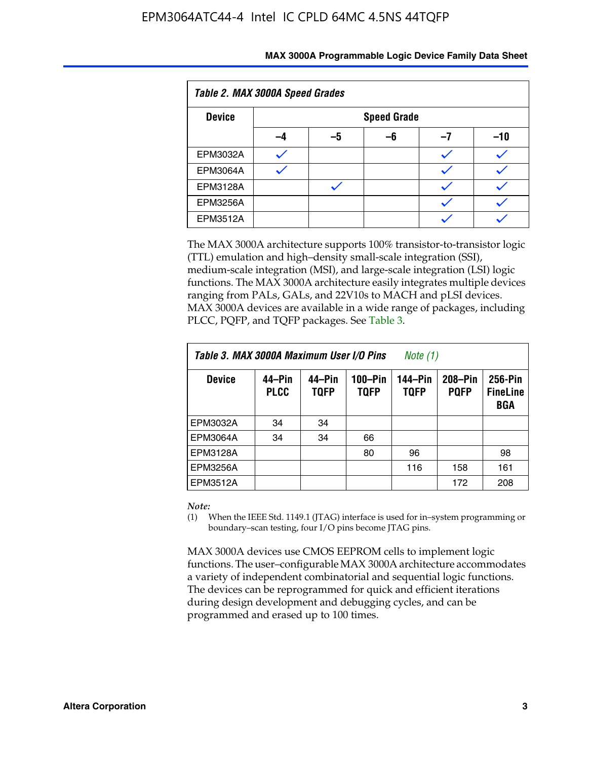| Table 2. MAX 3000A Speed Grades |    |                    |    |    |     |  |
|---------------------------------|----|--------------------|----|----|-----|--|
| <b>Device</b>                   |    | <b>Speed Grade</b> |    |    |     |  |
|                                 | -4 | -5                 | -6 | -7 | -10 |  |
| EPM3032A                        |    |                    |    |    |     |  |
| <b>EPM3064A</b>                 |    |                    |    |    |     |  |
| <b>EPM3128A</b>                 |    |                    |    |    |     |  |
| <b>EPM3256A</b>                 |    |                    |    |    |     |  |
| <b>EPM3512A</b>                 |    |                    |    |    |     |  |

The MAX 3000A architecture supports 100% transistor-to-transistor logic (TTL) emulation and high–density small-scale integration (SSI), medium-scale integration (MSI), and large-scale integration (LSI) logic functions. The MAX 3000A architecture easily integrates multiple devices ranging from PALs, GALs, and 22V10s to MACH and pLSI devices. MAX 3000A devices are available in a wide range of packages, including PLCC, PQFP, and TQFP packages. See Table 3.

| Table 3. MAX 3000A Maximum User I/O Pins | Note (1)              |                       |                        |                        |                        |                                   |
|------------------------------------------|-----------------------|-----------------------|------------------------|------------------------|------------------------|-----------------------------------|
| <b>Device</b>                            | 44–Pin<br><b>PLCC</b> | 44–Pin<br><b>TQFP</b> | 100-Pin<br><b>TQFP</b> | 144-Pin<br><b>TQFP</b> | 208-Pin<br><b>PQFP</b> | 256-Pin<br><b>FineLine</b><br>BGA |
| EPM3032A                                 | 34                    | 34                    |                        |                        |                        |                                   |
| <b>EPM3064A</b>                          | 34                    | 34                    | 66                     |                        |                        |                                   |
| EPM3128A                                 |                       |                       | 80                     | 96                     |                        | 98                                |
| EPM3256A                                 |                       |                       |                        | 116                    | 158                    | 161                               |
| EPM3512A                                 |                       |                       |                        |                        | 172                    | 208                               |

#### *Note:*

(1) When the IEEE Std. 1149.1 (JTAG) interface is used for in–system programming or boundary–scan testing, four I/O pins become JTAG pins.

MAX 3000A devices use CMOS EEPROM cells to implement logic functions. The user–configurable MAX 3000A architecture accommodates a variety of independent combinatorial and sequential logic functions. The devices can be reprogrammed for quick and efficient iterations during design development and debugging cycles, and can be programmed and erased up to 100 times.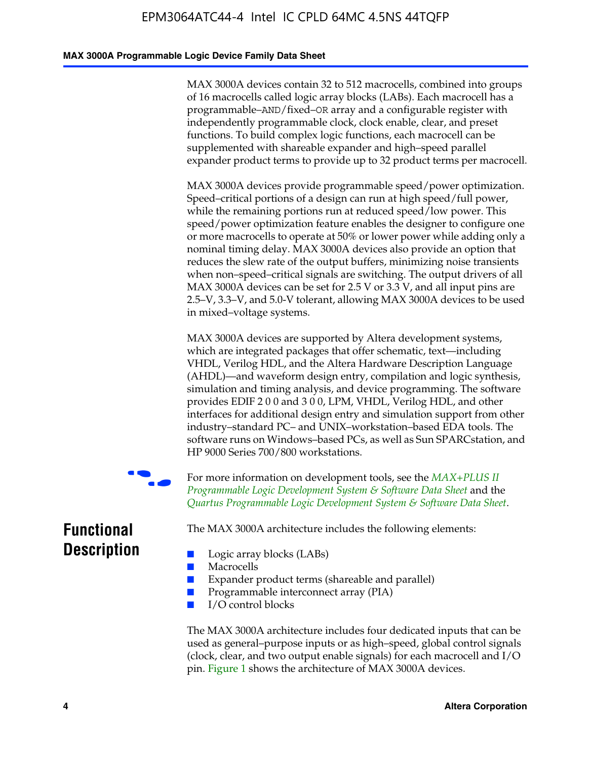#### **MAX 3000A Programmable Logic Device Family Data Sheet**

MAX 3000A devices contain 32 to 512 macrocells, combined into groups of 16 macrocells called logic array blocks (LABs). Each macrocell has a programmable–AND/fixed–OR array and a configurable register with independently programmable clock, clock enable, clear, and preset functions. To build complex logic functions, each macrocell can be supplemented with shareable expander and high–speed parallel expander product terms to provide up to 32 product terms per macrocell.

MAX 3000A devices provide programmable speed/power optimization. Speed–critical portions of a design can run at high speed/full power, while the remaining portions run at reduced speed/low power. This speed/power optimization feature enables the designer to configure one or more macrocells to operate at 50% or lower power while adding only a nominal timing delay. MAX 3000A devices also provide an option that reduces the slew rate of the output buffers, minimizing noise transients when non–speed–critical signals are switching. The output drivers of all MAX 3000A devices can be set for 2.5 V or 3.3 V, and all input pins are 2.5–V, 3.3–V, and 5.0-V tolerant, allowing MAX 3000A devices to be used in mixed–voltage systems.

MAX 3000A devices are supported by Altera development systems, which are integrated packages that offer schematic, text—including VHDL, Verilog HDL, and the Altera Hardware Description Language (AHDL)—and waveform design entry, compilation and logic synthesis, simulation and timing analysis, and device program[ming. The software](http://www.altera.com/literature/ds/dsmii.pdf)  [provides EDIF 2 0 0 and 3 0 0, LPM, VHDL, Verilog HDL, an](http://www.altera.com/literature/ds/dsmii.pdf)d other [interfaces for additional design entry and simulation support from ot](http://www.altera.com/literature/ds/quartus.pdf)her industry–standard PC– and UNIX–workstation–based EDA tools. The software runs on Windows–based PCs, as well as Sun SPARCstation, and HP 9000 Series 700/800 workstations.

For more information on development tools, see the *MAX+PLUS II Programmable Logic Development System & Software Data Sheet* and the *Quartus Programmable Logic Development System & Software Data Sheet*.

**Functional Description**

The MAX 3000A architecture includes the following elements:

- Logic array blocks (LABs)
- Macrocells
- Expander product terms (shareable and parallel)
- Programmable interconnect array (PIA)
- I/O control blocks

The MAX 3000A architecture includes four dedicated inputs that can be used as general–purpose inputs or as high–speed, global control signals (clock, clear, and two output enable signals) for each macrocell and I/O pin. Figure 1 shows the architecture of MAX 3000A devices.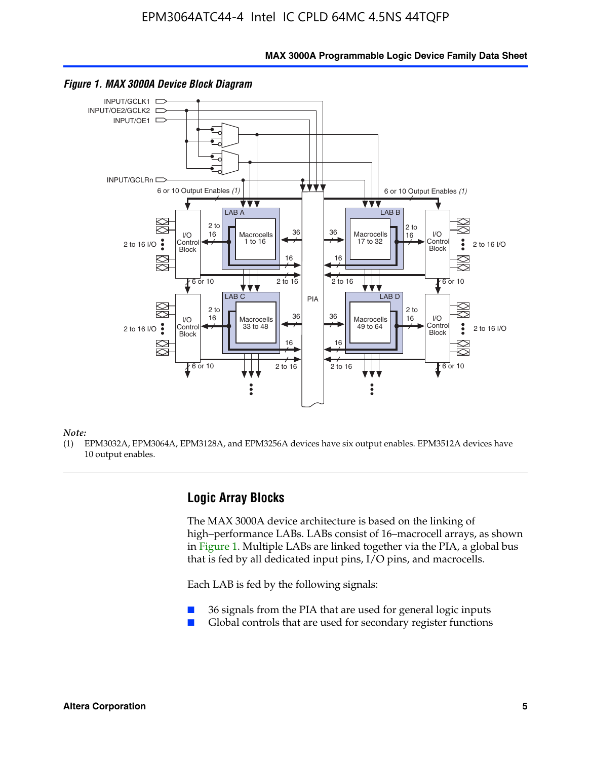**MAX 3000A Programmable Logic Device Family Data Sheet**



#### *Figure 1. MAX 3000A Device Block Diagram*

*Note:*

(1) EPM3032A, EPM3064A, EPM3128A, and EPM3256A devices have six output enables. EPM3512A devices have 10 output enables.

### **Logic Array Blocks**

The MAX 3000A device architecture is based on the linking of high–performance LABs. LABs consist of 16–macrocell arrays, as shown in Figure 1. Multiple LABs are linked together via the PIA, a global bus that is fed by all dedicated input pins, I/O pins, and macrocells.

Each LAB is fed by the following signals:

- 36 signals from the PIA that are used for general logic inputs
- Global controls that are used for secondary register functions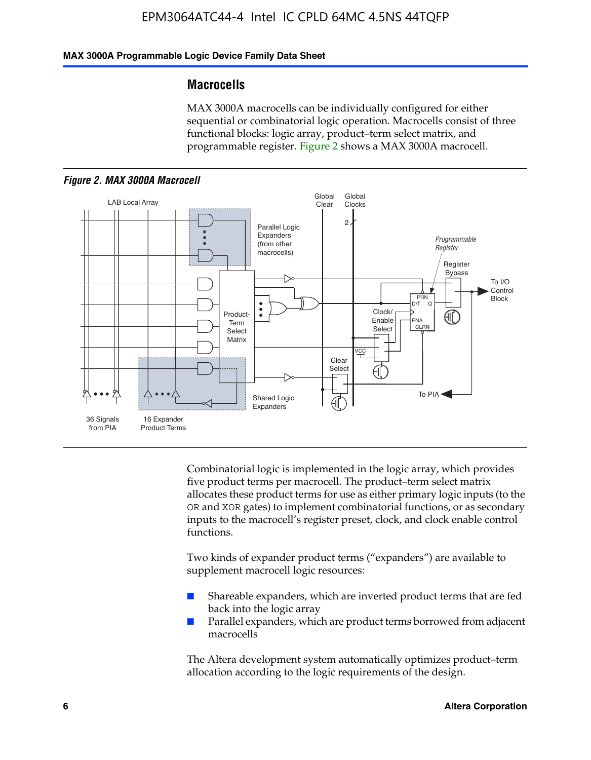### **MAX 3000A Programmable Logic Device Family Data Sheet**

### **Macrocells**

MAX 3000A macrocells can be individually configured for either sequential or combinatorial logic operation. Macrocells consist of three functional blocks: logic array, product–term select matrix, and programmable register. Figure 2 shows a MAX 3000A macrocell.





Combinatorial logic is implemented in the logic array, which provides five product terms per macrocell. The product–term select matrix allocates these product terms for use as either primary logic inputs (to the OR and XOR gates) to implement combinatorial functions, or as secondary inputs to the macrocell's register preset, clock, and clock enable control functions.

Two kinds of expander product terms ("expanders") are available to supplement macrocell logic resources:

- Shareable expanders, which are inverted product terms that are fed back into the logic array
- Parallel expanders, which are product terms borrowed from adjacent macrocells

The Altera development system automatically optimizes product–term allocation according to the logic requirements of the design.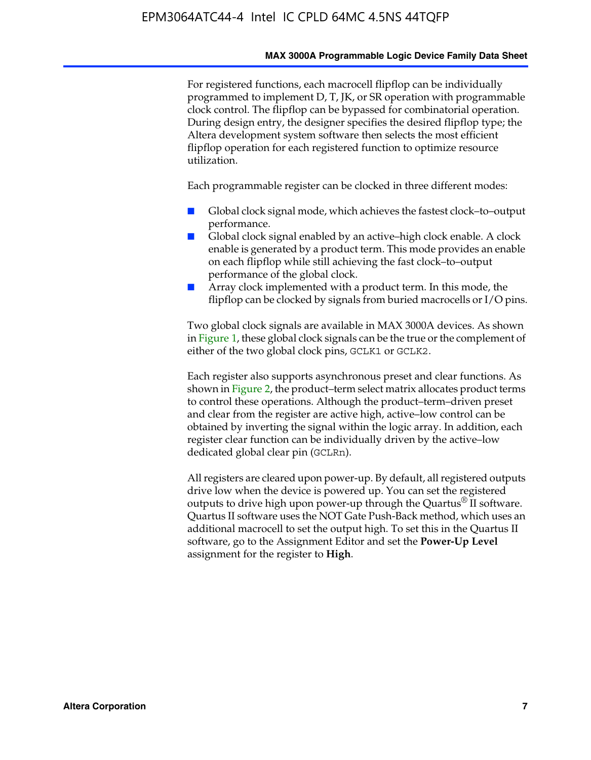#### **MAX 3000A Programmable Logic Device Family Data Sheet**

For registered functions, each macrocell flipflop can be individually programmed to implement D, T, JK, or SR operation with programmable clock control. The flipflop can be bypassed for combinatorial operation. During design entry, the designer specifies the desired flipflop type; the Altera development system software then selects the most efficient flipflop operation for each registered function to optimize resource utilization.

Each programmable register can be clocked in three different modes:

- Global clock signal mode, which achieves the fastest clock–to–output performance.
- Global clock signal enabled by an active–high clock enable. A clock enable is generated by a product term. This mode provides an enable on each flipflop while still achieving the fast clock–to–output performance of the global clock.
- Array clock implemented with a product term. In this mode, the flipflop can be clocked by signals from buried macrocells or I/O pins.

Two global clock signals are available in MAX 3000A devices. As shown in Figure 1, these global clock signals can be the true or the complement of either of the two global clock pins, GCLK1 or GCLK2.

Each register also supports asynchronous preset and clear functions. As shown in Figure 2, the product–term select matrix allocates product terms to control these operations. Although the product–term–driven preset and clear from the register are active high, active–low control can be obtained by inverting the signal within the logic array. In addition, each register clear function can be individually driven by the active–low dedicated global clear pin (GCLRn).

All registers are cleared upon power-up. By default, all registered outputs drive low when the device is powered up. You can set the registered outputs to drive high upon power-up through the Quartus<sup>®</sup> II software. Quartus II software uses the NOT Gate Push-Back method, which uses an additional macrocell to set the output high. To set this in the Quartus II software, go to the Assignment Editor and set the **Power-Up Level** assignment for the register to **High**.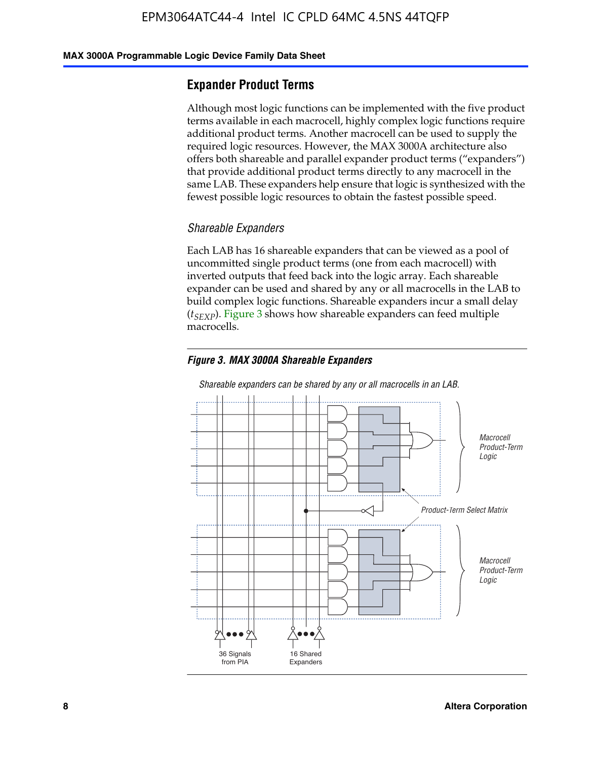#### **MAX 3000A Programmable Logic Device Family Data Sheet**

### **Expander Product Terms**

Although most logic functions can be implemented with the five product terms available in each macrocell, highly complex logic functions require additional product terms. Another macrocell can be used to supply the required logic resources. However, the MAX 3000A architecture also offers both shareable and parallel expander product terms ("expanders") that provide additional product terms directly to any macrocell in the same LAB. These expanders help ensure that logic is synthesized with the fewest possible logic resources to obtain the fastest possible speed.

#### *Shareable Expanders*

Each LAB has 16 shareable expanders that can be viewed as a pool of uncommitted single product terms (one from each macrocell) with inverted outputs that feed back into the logic array. Each shareable expander can be used and shared by any or all macrocells in the LAB to build complex logic functions. Shareable expanders incur a small delay (*t<sub>SEXP</sub>*). Figure 3 shows how shareable expanders can feed multiple macrocells.

### *Figure 3. MAX 3000A Shareable Expanders*



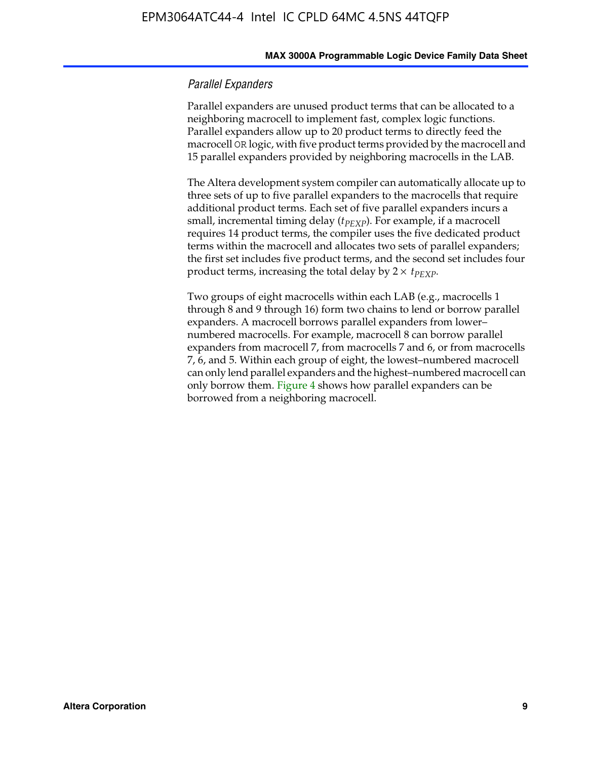#### **MAX 3000A Programmable Logic Device Family Data Sheet**

#### *Parallel Expanders*

Parallel expanders are unused product terms that can be allocated to a neighboring macrocell to implement fast, complex logic functions. Parallel expanders allow up to 20 product terms to directly feed the macrocell OR logic, with five product terms provided by the macrocell and 15 parallel expanders provided by neighboring macrocells in the LAB.

The Altera development system compiler can automatically allocate up to three sets of up to five parallel expanders to the macrocells that require additional product terms. Each set of five parallel expanders incurs a small, incremental timing delay ( $t_{PEXP}$ ). For example, if a macrocell requires 14 product terms, the compiler uses the five dedicated product terms within the macrocell and allocates two sets of parallel expanders; the first set includes five product terms, and the second set includes four product terms, increasing the total delay by  $2 \times t_{PEXP}$ .

Two groups of eight macrocells within each LAB (e.g., macrocells 1 through 8 and 9 through 16) form two chains to lend or borrow parallel expanders. A macrocell borrows parallel expanders from lower– numbered macrocells. For example, macrocell 8 can borrow parallel expanders from macrocell 7, from macrocells 7 and 6, or from macrocells 7, 6, and 5. Within each group of eight, the lowest–numbered macrocell can only lend parallel expanders and the highest–numbered macrocell can only borrow them. Figure 4 shows how parallel expanders can be borrowed from a neighboring macrocell.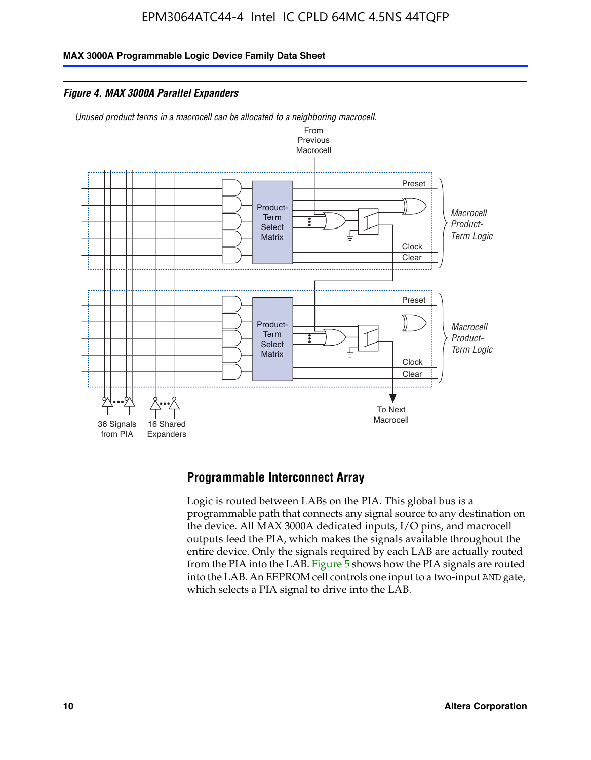**MAX 3000A Programmable Logic Device Family Data Sheet**

*Figure 4. MAX 3000A Parallel Expanders*

*Unused product terms in a macrocell can be allocated to a neighboring macrocell.*



### **Programmable Interconnect Array**

Logic is routed between LABs on the PIA. This global bus is a programmable path that connects any signal source to any destination on the device. All MAX 3000A dedicated inputs, I/O pins, and macrocell outputs feed the PIA, which makes the signals available throughout the entire device. Only the signals required by each LAB are actually routed from the PIA into the LAB. Figure 5 shows how the PIA signals are routed into the LAB. An EEPROM cell controls one input to a two-input AND gate, which selects a PIA signal to drive into the LAB.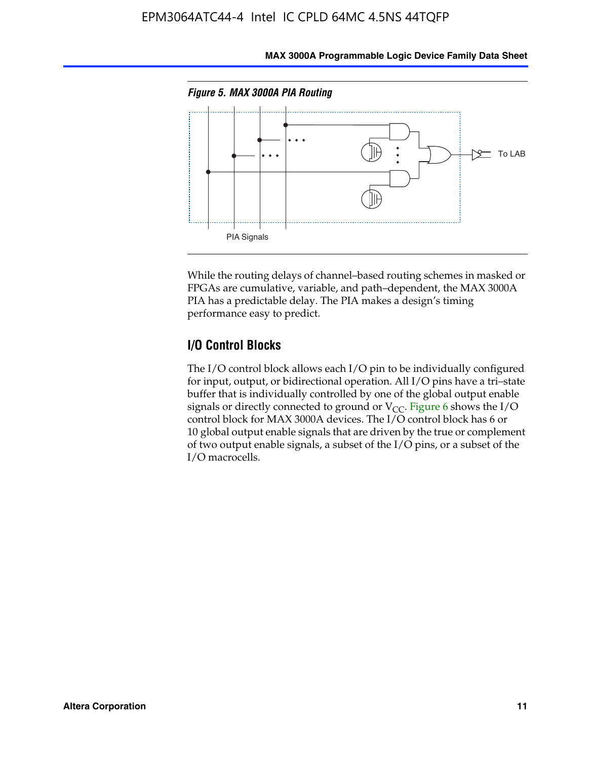

**MAX 3000A Programmable Logic Device Family Data Sheet**

While the routing delays of channel–based routing schemes in masked or FPGAs are cumulative, variable, and path–dependent, the MAX 3000A PIA has a predictable delay. The PIA makes a design's timing performance easy to predict.

### **I/O Control Blocks**

The I/O control block allows each I/O pin to be individually configured for input, output, or bidirectional operation. All I/O pins have a tri–state buffer that is individually controlled by one of the global output enable signals or directly connected to ground or  $V_{CC}$ . Figure 6 shows the I/O control block for MAX 3000A devices. The I/O control block has 6 or 10 global output enable signals that are driven by the true or complement of two output enable signals, a subset of the I/O pins, or a subset of the I/O macrocells.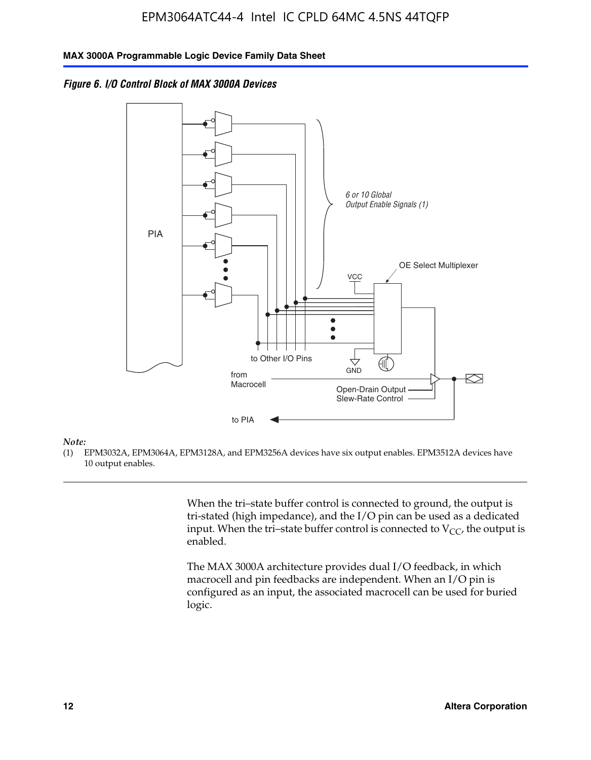*Figure 6. I/O Control Block of MAX 3000A Devices*



#### *Note:*

(1) EPM3032A, EPM3064A, EPM3128A, and EPM3256A devices have six output enables. EPM3512A devices have 10 output enables.

> When the tri–state buffer control is connected to ground, the output is tri-stated (high impedance), and the I/O pin can be used as a dedicated input. When the tri–state buffer control is connected to  $V_{CC}$ , the output is enabled.

The MAX 3000A architecture provides dual I/O feedback, in which macrocell and pin feedbacks are independent. When an I/O pin is configured as an input, the associated macrocell can be used for buried logic.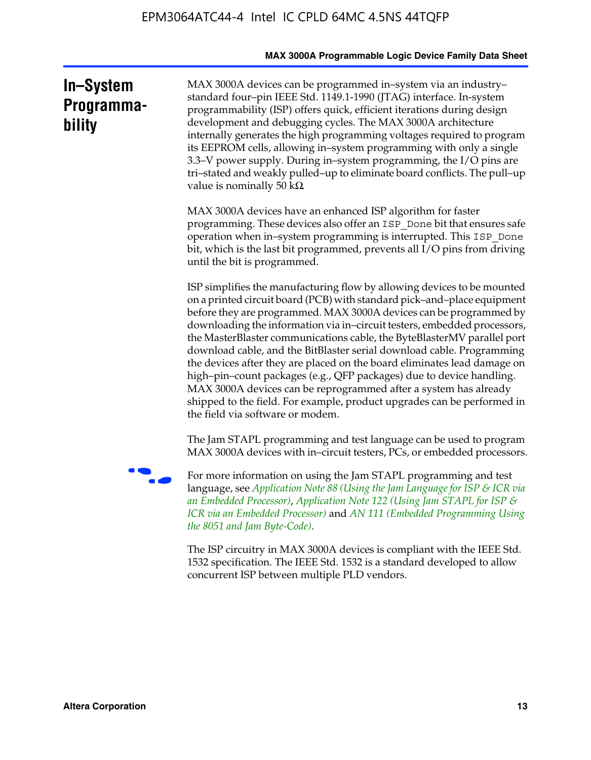|                                   | MAX 3000A Programmable Logic Device Family Data Sheet                                                                                                                                                                                                                                                                                                                                                                                                                                                                                                                                                                                                                                                                                                                                           |
|-----------------------------------|-------------------------------------------------------------------------------------------------------------------------------------------------------------------------------------------------------------------------------------------------------------------------------------------------------------------------------------------------------------------------------------------------------------------------------------------------------------------------------------------------------------------------------------------------------------------------------------------------------------------------------------------------------------------------------------------------------------------------------------------------------------------------------------------------|
| In-System<br>Programma-<br>bility | MAX 3000A devices can be programmed in-system via an industry-<br>standard four-pin IEEE Std. 1149.1-1990 (JTAG) interface. In-system<br>programmability (ISP) offers quick, efficient iterations during design<br>development and debugging cycles. The MAX 3000A architecture<br>internally generates the high programming voltages required to program<br>its EEPROM cells, allowing in-system programming with only a single<br>3.3–V power supply. During in–system programming, the I/O pins are<br>tri-stated and weakly pulled-up to eliminate board conflicts. The pull-up<br>value is nominally 50 k $\Omega$                                                                                                                                                                         |
|                                   | MAX 3000A devices have an enhanced ISP algorithm for faster<br>programming. These devices also offer an ISP_Done bit that ensures safe<br>operation when in-system programming is interrupted. This ISP_Done<br>bit, which is the last bit programmed, prevents all I/O pins from driving<br>until the bit is programmed.                                                                                                                                                                                                                                                                                                                                                                                                                                                                       |
|                                   | ISP simplifies the manufacturing flow by allowing devices to be mounted<br>on a printed circuit board (PCB) with standard pick-and-place equipment<br>before they are programmed. MAX 3000A devices can be programmed by<br>downloading the information via in-circuit testers, embedded processors,<br>the MasterBlaster communications cable, the ByteBlasterMV parallel port<br>download cable, and the BitBlaster serial download cable. Programming<br>the devices after they are placed on the board eliminates lead damage on<br>high-pin-count packages (e.g., QFP packages) due to device handling.<br>MAX 3000A devices can be reprogrammed after a system has already<br>shipped to the field. For example, product upgrades can be performed in<br>the field via software or modem. |
|                                   | The Jam STAPL programming and test language can be used to program<br>MAX 3000A devices with in-circuit testers, PCs, or embedded processors.                                                                                                                                                                                                                                                                                                                                                                                                                                                                                                                                                                                                                                                   |
|                                   | For more information on using the Jam STAPL programming and test<br>language, see Application Note 88 (Using the Jam Language for ISP & ICR via<br>an Embedded Processor), Application Note 122 (Using Jam STAPL for ISP &<br>ICR via an Embedded Processor) and AN 111 (Embedded Programming Using<br>the 8051 and Jam Byte-Code).                                                                                                                                                                                                                                                                                                                                                                                                                                                             |
|                                   | The ISP circuitry in MAX 3000A devices is compliant with the IEEE Std.<br>1532 specification. The IEEE Std. 1532 is a standard developed to allow<br>concurrent ISP between multiple PLD vendors.                                                                                                                                                                                                                                                                                                                                                                                                                                                                                                                                                                                               |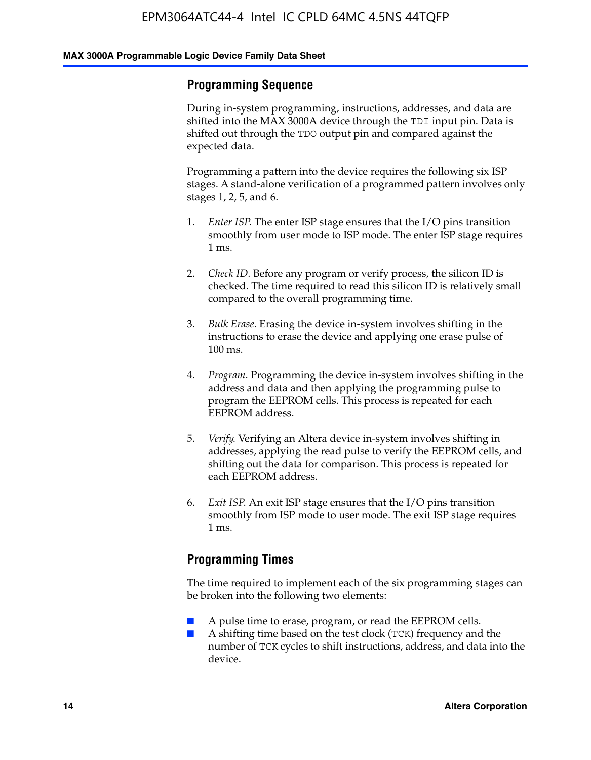### **Programming Sequence**

During in-system programming, instructions, addresses, and data are shifted into the MAX 3000A device through the TDI input pin. Data is shifted out through the TDO output pin and compared against the expected data.

Programming a pattern into the device requires the following six ISP stages. A stand-alone verification of a programmed pattern involves only stages 1, 2, 5, and 6.

- 1. *Enter ISP*. The enter ISP stage ensures that the I/O pins transition smoothly from user mode to ISP mode. The enter ISP stage requires 1 ms.
- 2. *Check ID*. Before any program or verify process, the silicon ID is checked. The time required to read this silicon ID is relatively small compared to the overall programming time.
- 3. *Bulk Erase*. Erasing the device in-system involves shifting in the instructions to erase the device and applying one erase pulse of 100 ms.
- 4. *Program*. Programming the device in-system involves shifting in the address and data and then applying the programming pulse to program the EEPROM cells. This process is repeated for each EEPROM address.
- 5. *Verify*. Verifying an Altera device in-system involves shifting in addresses, applying the read pulse to verify the EEPROM cells, and shifting out the data for comparison. This process is repeated for each EEPROM address.
- 6. *Exit ISP*. An exit ISP stage ensures that the I/O pins transition smoothly from ISP mode to user mode. The exit ISP stage requires 1 ms.

### **Programming Times**

The time required to implement each of the six programming stages can be broken into the following two elements:

- A pulse time to erase, program, or read the EEPROM cells.
- A shifting time based on the test clock (TCK) frequency and the number of TCK cycles to shift instructions, address, and data into the device.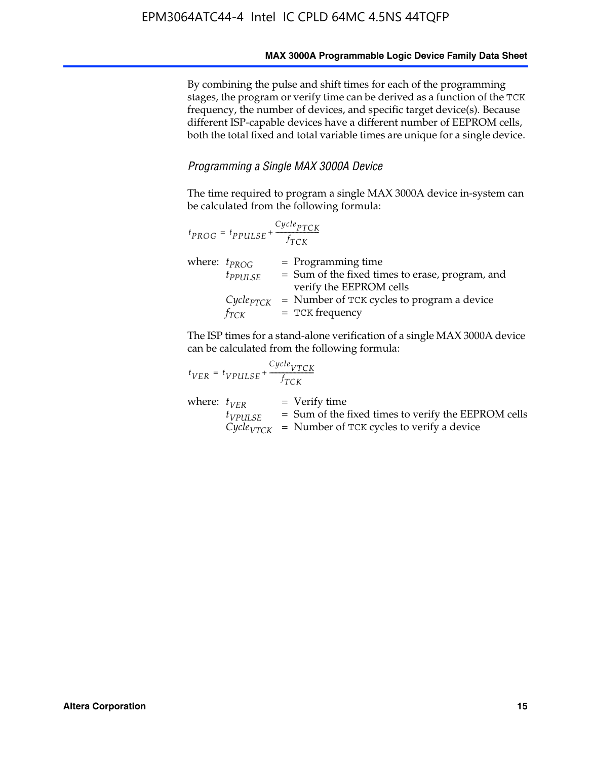By combining the pulse and shift times for each of the programming stages, the program or verify time can be derived as a function of the TCK frequency, the number of devices, and specific target device(s). Because different ISP-capable devices have a different number of EEPROM cells, both the total fixed and total variable times are unique for a single device.

### *Programming a Single MAX 3000A Device*

The time required to program a single MAX 3000A device in-system can be calculated from the following formula:

|                   | $t_{PROG} = t_{PPULSE} + \frac{Cycle_{PTCK}}{f_{TCK}}$ |                                                                                                      |
|-------------------|--------------------------------------------------------|------------------------------------------------------------------------------------------------------|
| where: $t_{PROG}$ | $t_{PPULSE}$                                           | $=$ Programming time<br>$=$ Sum of the fixed times to erase, program, and<br>verify the EEPROM cells |
|                   | $Cycle_{PTCK}$<br>$f_{TCK}$                            | = Number of TCK cycles to program a device<br>$=$ TCK frequency                                      |

The ISP times for a stand-alone verification of a single MAX 3000A device can be calculated from the following formula:

| $t_{VER} = t_{VPULSE} + \frac{t_{TCK}}{f_{TCK}}$ | $Cycle_{VTCK}$                                                                                                                    |
|--------------------------------------------------|-----------------------------------------------------------------------------------------------------------------------------------|
| where: $t_{VFR}$<br>$t_{VPULSE}$                 | $=$ Verify time<br>$=$ Sum of the fixed times to verify the EEPROM cells<br>$CycleVTCK$ = Number of TCK cycles to verify a device |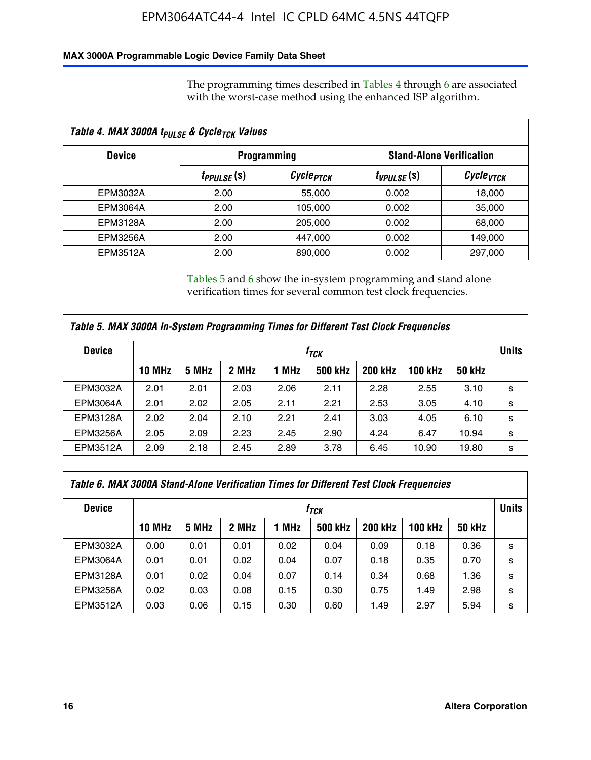### **MAX 3000A Programmable Logic Device Family Data Sheet**

The programming times described in Tables 4 through 6 are associated with the worst-case method using the enhanced ISP algorithm.

| Table 4. MAX 3000A t <sub>PULSE</sub> & Cycle <sub>TCK</sub> Values |                               |                       |                                 |                       |  |  |
|---------------------------------------------------------------------|-------------------------------|-----------------------|---------------------------------|-----------------------|--|--|
| <b>Device</b>                                                       |                               | <b>Programming</b>    | <b>Stand-Alone Verification</b> |                       |  |  |
|                                                                     | <i>t<sub>PPULSE</sub></i> (s) | Cycle <sub>PTCK</sub> | $t_{VPULSE}(s)$                 | Cycle <sub>vTCK</sub> |  |  |
| EPM3032A                                                            | 2.00                          | 55,000                | 0.002                           | 18,000                |  |  |
| EPM3064A                                                            | 2.00                          | 105,000               | 0.002                           | 35,000                |  |  |
| EPM3128A                                                            | 2.00                          | 205,000               | 0.002                           | 68,000                |  |  |
| <b>EPM3256A</b>                                                     | 2.00                          | 447.000               | 0.002                           | 149,000               |  |  |
| <b>EPM3512A</b>                                                     | 2.00                          | 890,000               | 0.002                           | 297,000               |  |  |

Tables 5 and 6 show the in-system programming and stand alone verification times for several common test clock frequencies.

| Table 5. MAX 3000A In-System Programming Times for Different Test Clock Frequencies |               |       |       |       |                |                |              |               |   |
|-------------------------------------------------------------------------------------|---------------|-------|-------|-------|----------------|----------------|--------------|---------------|---|
| <b>Device</b>                                                                       | $f_{TCK}$     |       |       |       |                |                | <b>Units</b> |               |   |
|                                                                                     | <b>10 MHz</b> | 5 MHz | 2 MHz | 1 MHz | <b>500 kHz</b> | <b>200 kHz</b> | 100 kHz      | <b>50 kHz</b> |   |
| EPM3032A                                                                            | 2.01          | 2.01  | 2.03  | 2.06  | 2.11           | 2.28           | 2.55         | 3.10          | s |
| <b>EPM3064A</b>                                                                     | 2.01          | 2.02  | 2.05  | 2.11  | 2.21           | 2.53           | 3.05         | 4.10          | s |
| <b>EPM3128A</b>                                                                     | 2.02          | 2.04  | 2.10  | 2.21  | 2.41           | 3.03           | 4.05         | 6.10          | s |
| <b>EPM3256A</b>                                                                     | 2.05          | 2.09  | 2.23  | 2.45  | 2.90           | 4.24           | 6.47         | 10.94         | s |
| EPM3512A                                                                            | 2.09          | 2.18  | 2.45  | 2.89  | 3.78           | 6.45           | 10.90        | 19.80         | s |

| Table 6. MAX 3000A Stand-Alone Verification Times for Different Test Clock Frequencies |               |       |       |       |                |                |                |               |   |
|----------------------------------------------------------------------------------------|---------------|-------|-------|-------|----------------|----------------|----------------|---------------|---|
| <b>Device</b>                                                                          | $f_{TCK}$     |       |       |       |                |                | <b>Units</b>   |               |   |
|                                                                                        | <b>10 MHz</b> | 5 MHz | 2 MHz | 1 MHz | <b>500 kHz</b> | <b>200 kHz</b> | <b>100 kHz</b> | <b>50 kHz</b> |   |
| EPM3032A                                                                               | 0.00          | 0.01  | 0.01  | 0.02  | 0.04           | 0.09           | 0.18           | 0.36          | s |
| <b>EPM3064A</b>                                                                        | 0.01          | 0.01  | 0.02  | 0.04  | 0.07           | 0.18           | 0.35           | 0.70          | s |
| EPM3128A                                                                               | 0.01          | 0.02  | 0.04  | 0.07  | 0.14           | 0.34           | 0.68           | 1.36          | s |
| <b>EPM3256A</b>                                                                        | 0.02          | 0.03  | 0.08  | 0.15  | 0.30           | 0.75           | 1.49           | 2.98          | s |
| EPM3512A                                                                               | 0.03          | 0.06  | 0.15  | 0.30  | 0.60           | 1.49           | 2.97           | 5.94          | s |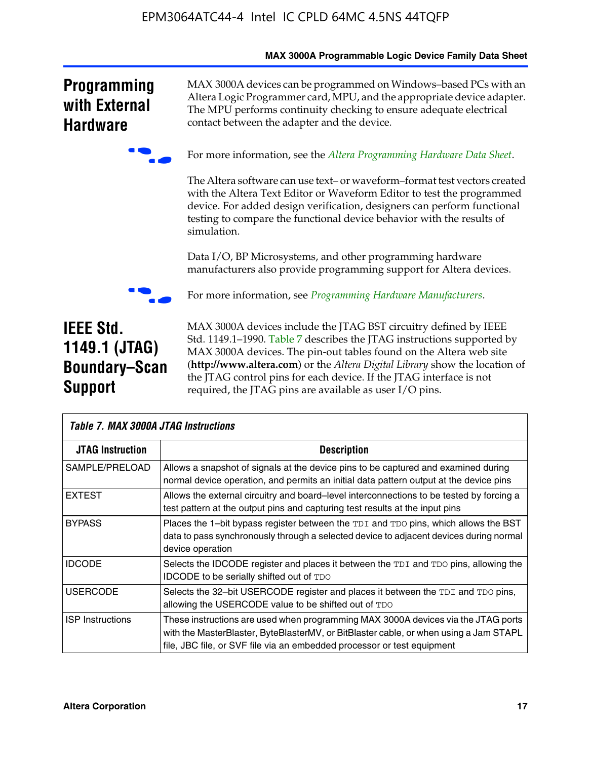|                                                                             | <b>MAX SUUJA Programmable Logic Device Family Data Sheet</b>                                                                                                                                                                                                                                                                                                                                                                     |
|-----------------------------------------------------------------------------|----------------------------------------------------------------------------------------------------------------------------------------------------------------------------------------------------------------------------------------------------------------------------------------------------------------------------------------------------------------------------------------------------------------------------------|
| <b>Programming</b><br>with External<br><b>Hardware</b>                      | MAX 3000A devices can be programmed on Windows-based PCs with an<br>Altera Logic Programmer card, MPU, and the appropriate device adapter.<br>The MPU performs continuity checking to ensure adequate electrical<br>contact between the adapter and the device.                                                                                                                                                                  |
|                                                                             | For more information, see the Altera Programming Hardware Data Sheet.                                                                                                                                                                                                                                                                                                                                                            |
|                                                                             | The Altera software can use text- or waveform-format test vectors created<br>with the Altera Text Editor or Waveform Editor to test the programmed<br>device. For added design verification, designers can perform functional<br>testing to compare the functional device behavior with the results of<br>simulation.                                                                                                            |
|                                                                             | Data I/O, BP Microsystems, and other programming hardware<br>manufacturers also provide programming support for Altera devices.                                                                                                                                                                                                                                                                                                  |
|                                                                             | For more information, see Programming Hardware Manufacturers.                                                                                                                                                                                                                                                                                                                                                                    |
| <b>IEEE Std.</b><br>1149.1 (JTAG)<br><b>Boundary-Scan</b><br><b>Support</b> | MAX 3000A devices include the JTAG BST circuitry defined by IEEE<br>Std. 1149.1-1990. Table 7 describes the JTAG instructions supported by<br>MAX 3000A devices. The pin-out tables found on the Altera web site<br>(http://www.altera.com) or the Altera Digital Library show the location of<br>the JTAG control pins for each device. If the JTAG interface is not<br>required, the JTAG pins are available as user I/O pins. |

| Table 7. MAX 3000A JTAG Instructions |                                                                                                                                                                                                                                                       |
|--------------------------------------|-------------------------------------------------------------------------------------------------------------------------------------------------------------------------------------------------------------------------------------------------------|
| <b>JTAG Instruction</b>              | <b>Description</b>                                                                                                                                                                                                                                    |
| SAMPLE/PRELOAD                       | Allows a snapshot of signals at the device pins to be captured and examined during<br>normal device operation, and permits an initial data pattern output at the device pins                                                                          |
| <b>EXTEST</b>                        | Allows the external circuitry and board–level interconnections to be tested by forcing a<br>test pattern at the output pins and capturing test results at the input pins                                                                              |
| <b>BYPASS</b>                        | Places the 1-bit bypass register between the TDI and TDO pins, which allows the BST<br>data to pass synchronously through a selected device to adjacent devices during normal<br>device operation                                                     |
| <b>IDCODE</b>                        | Selects the IDCODE register and places it between the TDI and TDO pins, allowing the<br><b>IDCODE</b> to be serially shifted out of TDO                                                                                                               |
| <b>USERCODE</b>                      | Selects the 32-bit USERCODE register and places it between the TDI and TDO pins,<br>allowing the USERCODE value to be shifted out of TDO                                                                                                              |
| <b>ISP</b> Instructions              | These instructions are used when programming MAX 3000A devices via the JTAG ports<br>with the MasterBlaster, ByteBlasterMV, or BitBlaster cable, or when using a Jam STAPL<br>file, JBC file, or SVF file via an embedded processor or test equipment |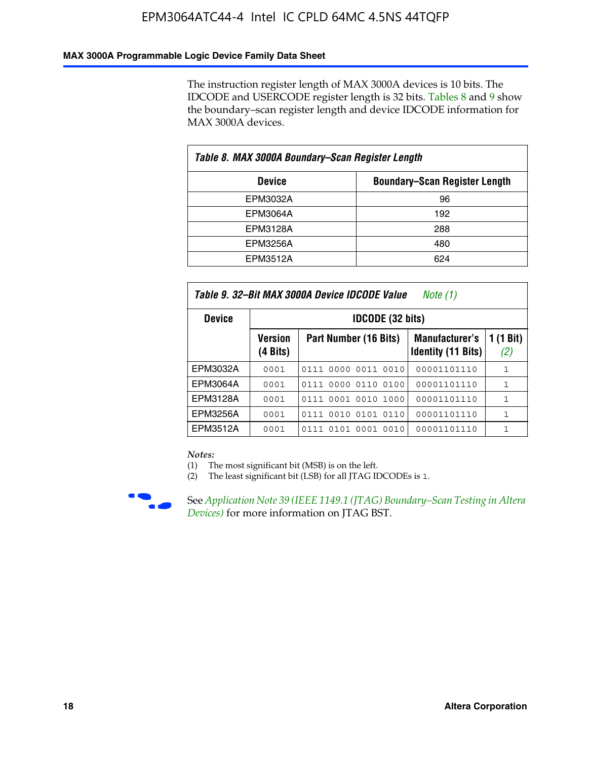### **MAX 3000A Programmable Logic Device Family Data Sheet**

The instruction register length of MAX 3000A devices is 10 bits. The IDCODE and USERCODE register length is 32 bits. Tables 8 and 9 show the boundary–scan register length and device IDCODE information for MAX 3000A devices.

| Table 8. MAX 3000A Boundary–Scan Register Length      |     |  |  |  |  |  |  |
|-------------------------------------------------------|-----|--|--|--|--|--|--|
| <b>Boundary-Scan Register Length</b><br><b>Device</b> |     |  |  |  |  |  |  |
| EPM3032A                                              | 96  |  |  |  |  |  |  |
| EPM3064A                                              | 192 |  |  |  |  |  |  |
| EPM3128A                                              | 288 |  |  |  |  |  |  |
| <b>EPM3256A</b>                                       | 480 |  |  |  |  |  |  |
| EPM3512A                                              | 624 |  |  |  |  |  |  |

| Table 9. 32–Bit MAX 3000A Device IDCODE Value<br>Note (1) |                            |                                                                                                 |             |   |  |  |  |  |  |  |
|-----------------------------------------------------------|----------------------------|-------------------------------------------------------------------------------------------------|-------------|---|--|--|--|--|--|--|
| <b>Device</b>                                             |                            | <b>IDCODE (32 bits)</b>                                                                         |             |   |  |  |  |  |  |  |
|                                                           | <b>Version</b><br>(4 Bits) | 1 (1 Bit)<br>Part Number (16 Bits)<br><b>Manufacturer's</b><br><b>Identity (11 Bits)</b><br>(2) |             |   |  |  |  |  |  |  |
| EPM3032A                                                  | 0001                       | 0111 0000 0011 0010                                                                             | 00001101110 | 1 |  |  |  |  |  |  |
| <b>EPM3064A</b>                                           | 0001                       | 0111 0000 0110 0100                                                                             | 00001101110 | 1 |  |  |  |  |  |  |
| EPM3128A                                                  | 0001                       | 0111 0001 0010 1000                                                                             | 00001101110 | 1 |  |  |  |  |  |  |
| EPM3256A                                                  | 0001                       | 0010 0101 0110<br>0111                                                                          | 00001101110 | 1 |  |  |  |  |  |  |
| EPM3512A                                                  | 0001                       | 0001<br>0101<br>0010<br>0111                                                                    | 00001101110 | 1 |  |  |  |  |  |  |

#### *Notes:*

(1) The most significant bit (MSB) is on the left.

(2) The least significant bit (LSB) for all JTAG IDCODEs is 1.



**F See Application Note 39 (IEEE 1149.1 (JTAG) Boundary–Scan Testing in Altera** *Devices)* for more information on JTAG BST.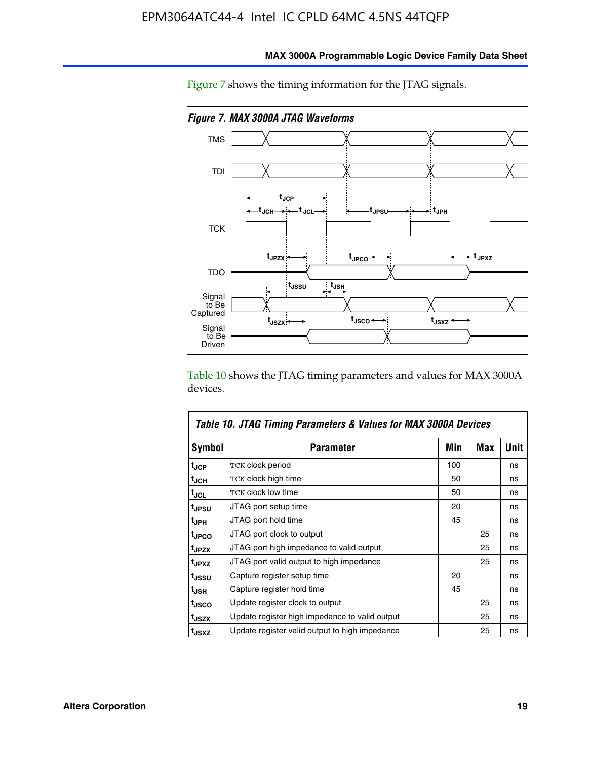

**MAX 3000A Programmable Logic Device Family Data Sheet**

Figure 7 shows the timing information for the JTAG signals.

Table 10 shows the JTAG timing parameters and values for MAX 3000A devices.

|                   | Table 10. JTAG Timing Parameters & Values for MAX 3000A Devices |     |     |      |
|-------------------|-----------------------------------------------------------------|-----|-----|------|
| <b>Symbol</b>     | <b>Parameter</b>                                                | Min | Max | Unit |
| t <sub>JCP</sub>  | TCK clock period                                                | 100 |     | ns   |
| t <sub>JCH</sub>  | TCK clock high time                                             | 50  |     | ns   |
| t <sub>JCL</sub>  | <b>TCK clock low time</b>                                       | 50  |     | ns   |
| t <sub>JPSU</sub> | JTAG port setup time                                            | 20  |     | ns   |
| t <sub>JPH</sub>  | JTAG port hold time                                             | 45  |     | ns   |
| <sup>t</sup> JPCO | JTAG port clock to output                                       |     | 25  | ns   |
| t <sub>JPZX</sub> | JTAG port high impedance to valid output                        |     | 25  | ns   |
| t <sub>JPXZ</sub> | JTAG port valid output to high impedance                        |     | 25  | ns   |
| tussu             | Capture register setup time                                     | 20  |     | ns   |
| t <sub>JSH</sub>  | Capture register hold time                                      | 45  |     | ns   |
| t <sub>JSCO</sub> | Update register clock to output                                 |     | 25  | ns   |
| t <sub>JSZX</sub> | Update register high impedance to valid output                  |     | 25  | ns   |
| t <sub>JSXZ</sub> | Update register valid output to high impedance                  |     | 25  | ns   |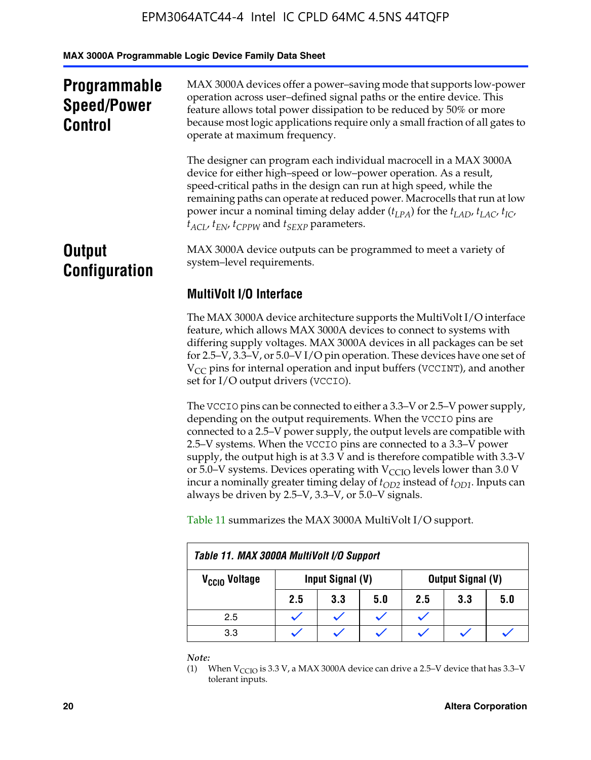**MAX 3000A Programmable Logic Device Family Data Sheet**

| <b>Programmable</b><br><b>Speed/Power</b><br><b>Control</b> | MAX 3000A devices offer a power-saving mode that supports low-power<br>operation across user-defined signal paths or the entire device. This<br>feature allows total power dissipation to be reduced by 50% or more<br>because most logic applications require only a small fraction of all gates to<br>operate at maximum frequency.                                                                                                                        |  |  |  |
|-------------------------------------------------------------|--------------------------------------------------------------------------------------------------------------------------------------------------------------------------------------------------------------------------------------------------------------------------------------------------------------------------------------------------------------------------------------------------------------------------------------------------------------|--|--|--|
|                                                             | The designer can program each individual macrocell in a MAX 3000A<br>device for either high-speed or low-power operation. As a result,<br>speed-critical paths in the design can run at high speed, while the<br>remaining paths can operate at reduced power. Macrocells that run at low<br>power incur a nominal timing delay adder $(t_{LPA})$ for the $t_{LAD}$ , $t_{LAC}$ , $t_{IC}$ ,<br>$t_{ACL}$ , $t_{EN}$ , $t_{CPPW}$ and $t_{SEXP}$ parameters. |  |  |  |
| <b>Output</b><br><b>Configuration</b>                       | MAX 3000A device outputs can be programmed to meet a variety of<br>system-level requirements.                                                                                                                                                                                                                                                                                                                                                                |  |  |  |
|                                                             | <b>MultiVolt I/O Interface</b>                                                                                                                                                                                                                                                                                                                                                                                                                               |  |  |  |
|                                                             | The MAX 3000A device architecture supports the MultiVolt I/O interface<br>feature, which allows MAX 3000A devices to connect to systems with                                                                                                                                                                                                                                                                                                                 |  |  |  |

differing supply voltages. MAX 3000A devices in all packages can be set for 2.5–V, 3.3–V, or 5.0–V I/O pin operation. These devices have one set of  $V_{CC}$  pins for internal operation and input buffers (VCCINT), and another set for I/O output drivers (VCCIO).

The VCCIO pins can be connected to either a 3.3–V or 2.5–V power supply, depending on the output requirements. When the VCCIO pins are connected to a 2.5–V power supply, the output levels are compatible with 2.5–V systems. When the VCCIO pins are connected to a 3.3–V power supply, the output high is at 3.3  $\bar{V}$  and is therefore compatible with 3.3-V or 5.0–V systems. Devices operating with  $V_{CCIO}$  levels lower than 3.0 V incur a nominally greater timing delay of  $t_{OD2}$  instead of  $t_{OD1}$ . Inputs can always be driven by 2.5–V, 3.3–V, or 5.0–V signals.

Table 11 summarizes the MAX 3000A MultiVolt I/O support.

| Table 11. MAX 3000A MultiVolt I/O Support                          |     |     |     |     |     |     |  |
|--------------------------------------------------------------------|-----|-----|-----|-----|-----|-----|--|
| Output Signal (V)<br>Input Signal (V)<br>V <sub>CCIO</sub> Voltage |     |     |     |     |     |     |  |
|                                                                    | 2.5 | 3.3 | 5.0 | 2.5 | 3.3 | 5.0 |  |
| 2.5                                                                |     |     |     |     |     |     |  |
| 3.3                                                                |     |     |     |     |     |     |  |

*Note:*

<sup>(1)</sup> When  $V_{\text{CCIO}}$  is 3.3 V, a MAX 3000A device can drive a 2.5–V device that has 3.3–V tolerant inputs.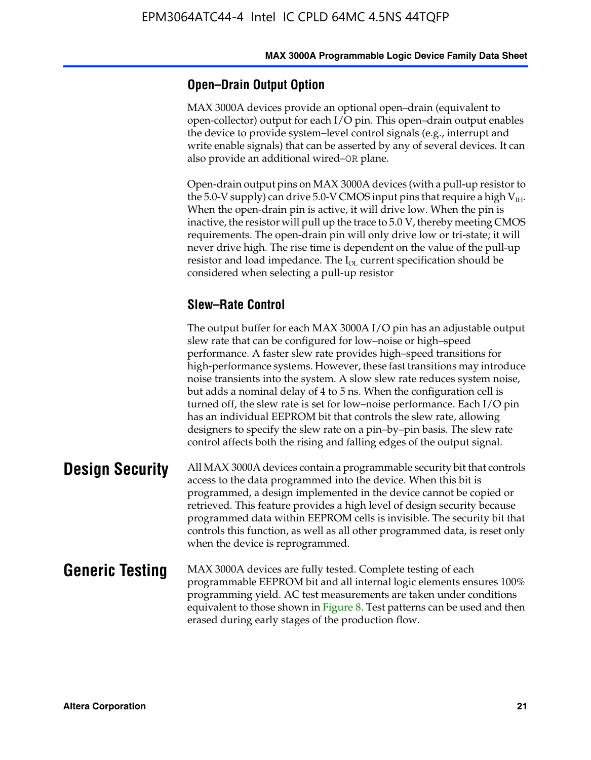### **Open–Drain Output Option**

MAX 3000A devices provide an optional open–drain (equivalent to open-collector) output for each I/O pin. This open–drain output enables the device to provide system–level control signals (e.g., interrupt and write enable signals) that can be asserted by any of several devices. It can also provide an additional wired–OR plane.

Open-drain output pins on MAX 3000A devices (with a pull-up resistor to the 5.0-V supply) can drive 5.0-V CMOS input pins that require a high  $V_{\text{H}_{\text{H}}}$ . When the open-drain pin is active, it will drive low. When the pin is inactive, the resistor will pull up the trace to 5.0 V, thereby meeting CMOS requirements. The open-drain pin will only drive low or tri-state; it will never drive high. The rise time is dependent on the value of the pull-up resistor and load impedance. The  $I_{OL}$  current specification should be considered when selecting a pull-up resistor

### **Slew–Rate Control**

The output buffer for each MAX 3000A I/O pin has an adjustable output slew rate that can be configured for low–noise or high–speed performance. A faster slew rate provides high–speed transitions for high-performance systems. However, these fast transitions may introduce noise transients into the system. A slow slew rate reduces system noise, but adds a nominal delay of 4 to 5 ns. When the configuration cell is turned off, the slew rate is set for low–noise performance. Each I/O pin has an individual EEPROM bit that controls the slew rate, allowing designers to specify the slew rate on a pin–by–pin basis. The slew rate control affects both the rising and falling edges of the output signal.

**Design Security** All MAX 3000A devices contain a programmable security bit that controls access to the data programmed into the device. When this bit is programmed, a design implemented in the device cannot be copied or retrieved. This feature provides a high level of design security because programmed data within EEPROM cells is invisible. The security bit that controls this function, as well as all other programmed data, is reset only when the device is reprogrammed.

### **Generic Testing** MAX 3000A devices are fully tested. Complete testing of each programmable EEPROM bit and all internal logic elements ensures 100% programming yield. AC test measurements are taken under conditions equivalent to those shown in Figure 8. Test patterns can be used and then erased during early stages of the production flow.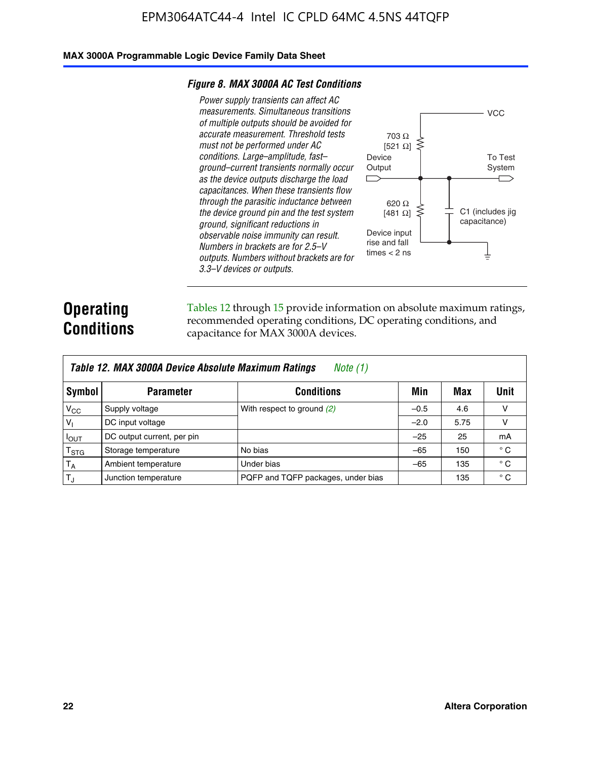### **MAX 3000A Programmable Logic Device Family Data Sheet**

#### *Figure 8. MAX 3000A AC Test Conditions*

*Power supply transients can affect AC measurements. Simultaneous transitions of multiple outputs should be avoided for accurate measurement. Threshold tests must not be performed under AC conditions. Large–amplitude, fast– ground–current transients normally occur as the device outputs discharge the load capacitances. When these transients flow through the parasitic inductance between the device ground pin and the test system ground, significant reductions in observable noise immunity can result. Numbers in brackets are for 2.5–V outputs. Numbers without brackets are for 3.3–V devices or outputs.*



### **Operating Conditions**

Tables 12 through 15 provide information on absolute maximum ratings, recommended operating conditions, DC operating conditions, and capacitance for MAX 3000A devices.

|                | Table 12. MAX 3000A Device Absolute Maximum Ratings<br>Note (1) |                                    |        |      |              |  |  |
|----------------|-----------------------------------------------------------------|------------------------------------|--------|------|--------------|--|--|
| Symbol         | <b>Parameter</b>                                                | <b>Conditions</b>                  | Min    | Max  | Unit         |  |  |
| $V_{CC}$       | Supply voltage                                                  | With respect to ground (2)         | $-0.5$ | 4.6  | v            |  |  |
| V <sub>1</sub> | DC input voltage                                                |                                    | $-2.0$ | 5.75 | v            |  |  |
| $I_{OUT}$      | DC output current, per pin                                      |                                    | $-25$  | 25   | mA           |  |  |
| $T_{\rm STG}$  | Storage temperature                                             | No bias                            | $-65$  | 150  | $^{\circ}$ C |  |  |
| $T_A$          | Ambient temperature                                             | Under bias                         | $-65$  | 135  | $^{\circ}$ C |  |  |
| $T_{\rm J}$    | Junction temperature                                            | PQFP and TQFP packages, under bias |        | 135  | $^{\circ}$ C |  |  |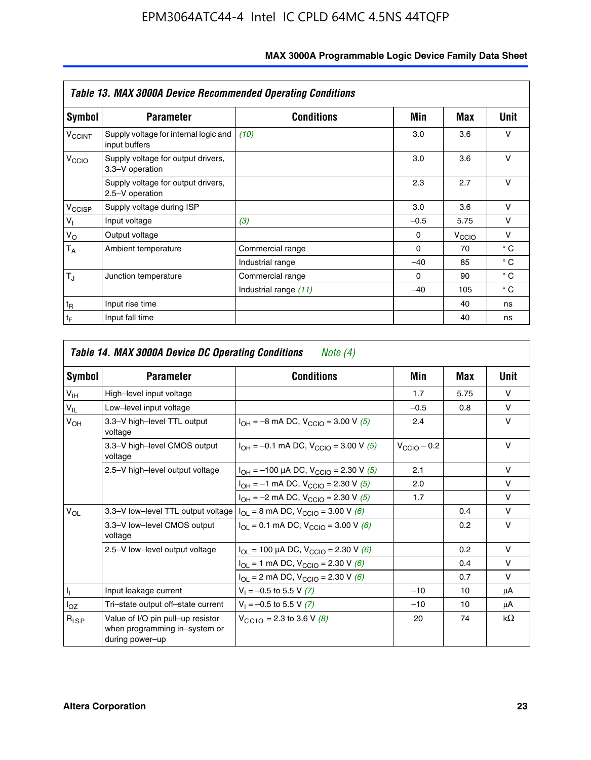|                             | <b>Table 13. MAX 3000A Device Recommended Operating Conditions</b> |                       |          |                   |              |  |  |  |
|-----------------------------|--------------------------------------------------------------------|-----------------------|----------|-------------------|--------------|--|--|--|
| Symbol                      | <b>Parameter</b>                                                   | <b>Conditions</b>     | Min      | Max               | Unit         |  |  |  |
| $V_{\rm CCINT}$             | Supply voltage for internal logic and<br>input buffers             | (10)                  | 3.0      | 3.6               | ν            |  |  |  |
| V <sub>CCIO</sub>           | Supply voltage for output drivers,<br>3.3-V operation              |                       | 3.0      | 3.6               | $\vee$       |  |  |  |
|                             | Supply voltage for output drivers,<br>2.5-V operation              |                       | 2.3      | 2.7               | v            |  |  |  |
| V <sub>CCISP</sub>          | Supply voltage during ISP                                          |                       | 3.0      | 3.6               | $\vee$       |  |  |  |
| $V_{\parallel}$             | Input voltage                                                      | (3)                   | $-0.5$   | 5.75              | v            |  |  |  |
| $V_{\rm O}$                 | Output voltage                                                     |                       | $\Omega$ | $V_{\text{CCIO}}$ | v            |  |  |  |
| $T_A$                       | Ambient temperature                                                | Commercial range      | $\Omega$ | 70                | $^{\circ}$ C |  |  |  |
|                             |                                                                    | Industrial range      | $-40$    | 85                | $^{\circ}$ C |  |  |  |
| $T_{\rm J}$                 | Junction temperature                                               | Commercial range      | $\Omega$ | 90                | $^{\circ}$ C |  |  |  |
|                             |                                                                    | Industrial range (11) | $-40$    | 105               | $^{\circ}$ C |  |  |  |
| $t_{\mathsf{R}}$            | Input rise time                                                    |                       |          | 40                | ns           |  |  |  |
| $\mathfrak{t}_{\mathsf{F}}$ | Input fall time                                                    |                       |          | 40                | ns           |  |  |  |

| Symbol          | <b>Parameter</b>                                                                      | <b>Conditions</b>                                                               | Min                     | Max  | Unit      |
|-----------------|---------------------------------------------------------------------------------------|---------------------------------------------------------------------------------|-------------------------|------|-----------|
| $V_{\text{IH}}$ | High-level input voltage                                                              |                                                                                 | 1.7                     | 5.75 | $\vee$    |
| $V_{IL}$        | Low-level input voltage                                                               |                                                                                 | $-0.5$                  | 0.8  | v         |
| V <sub>OH</sub> | 3.3-V high-level TTL output<br>voltage                                                | $I_{OH} = -8$ mA DC, $V_{CClO} = 3.00$ V (5)                                    | 2.4                     |      | v         |
|                 | 3.3-V high-level CMOS output<br>voltage                                               | $I_{OH} = -0.1$ mA DC, $V_{CCIO} = 3.00$ V (5)                                  | $V_{\text{CCIO}} - 0.2$ |      | v         |
|                 | 2.5-V high-level output voltage<br>$I_{OH} = -100 \mu A DC$ , $V_{CCIO} = 2.30 V (5)$ |                                                                                 | 2.1                     |      | v         |
|                 |                                                                                       | $I_{OH} = -1$ mA DC, $V_{CClO} = 2.30$ V (5)                                    | 2.0                     |      | $\vee$    |
|                 |                                                                                       | $I_{OH} = -2$ mA DC, $V_{CGIO} = 2.30$ V (5)                                    | 1.7                     |      | v         |
| $V_{OL}$        |                                                                                       | 3.3–V low–level TTL output voltage $ I_{OL} = 8$ mA DC, $V_{CCIO} = 3.00$ V (6) |                         | 0.4  | $\vee$    |
|                 | 3.3-V low-level CMOS output<br>voltage                                                | $I_{OL} = 0.1$ mA DC, $V_{CCIO} = 3.00$ V (6)                                   |                         | 0.2  | $\vee$    |
|                 | 2.5-V low-level output voltage                                                        | $I_{OL}$ = 100 µA DC, $V_{CCIO}$ = 2.30 V (6)                                   |                         | 0.2  | v         |
|                 |                                                                                       | $I_{OL}$ = 1 mA DC, $V_{CClO}$ = 2.30 V (6)                                     |                         | 0.4  | v         |
|                 |                                                                                       | $I_{OL}$ = 2 mA DC, $V_{CCIO}$ = 2.30 V (6)                                     |                         | 0.7  | $\vee$    |
| h,              | Input leakage current                                                                 | $V_1 = -0.5$ to 5.5 V (7)                                                       | $-10$                   | 10   | μA        |
| $I_{OZ}$        | Tri-state output off-state current                                                    | $V_1 = -0.5$ to 5.5 V (7)                                                       | $-10$                   | 10   | μA        |
| $R_{ISP}$       | Value of I/O pin pull-up resistor<br>when programming in-system or<br>during power-up | $V_{CCD}$ = 2.3 to 3.6 V (8)                                                    | 20                      | 74   | $k\Omega$ |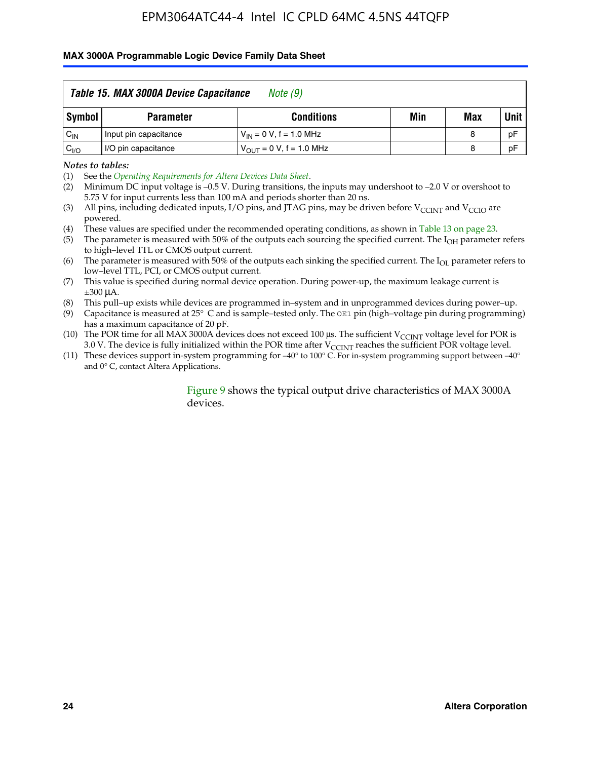### **MAX 3000A Programmable Logic Device Family Data Sheet**

|          | Table 15. MAX 3000A Device Capacitance<br>Note (9) |                               |     |             |    |  |  |
|----------|----------------------------------------------------|-------------------------------|-----|-------------|----|--|--|
| Symbol   | <b>Parameter</b>                                   | Min                           | Max | <b>Unit</b> |    |  |  |
| $C_{IN}$ | Input pin capacitance                              | $V_{IN} = 0 V$ , f = 1.0 MHz  |     | 8           | pF |  |  |
| $C_{VO}$ | I/O pin capacitance                                | $V_{OUT} = 0 V$ , f = 1.0 MHz |     | 8           | pF |  |  |

*Notes to tables:*

(2) Minimum DC input voltage is –0.5 V. During transitions, the inputs may undershoot to –2.0 V or overshoot to 5.75 V for input currents less than 100 mA and periods shorter than 20 ns.

(4) These values are specified under the recommended operating conditions, as shown in Table 13 on page 23.

(5) The parameter is measured with 50% of the outputs each sourcing the specified current. The  $I<sub>OH</sub>$  parameter refers to high–level TTL or CMOS output current.

(6) The parameter is measured with 50% of the outputs each sinking the specified current. The  $I_{OL}$  parameter refers to low–level TTL, PCI, or CMOS output current.

(7) This value is specified during normal device operation. During power-up, the maximum leakage current is ±300 μA.

(8) This pull–up exists while devices are programmed in–system and in unprogrammed devices during power–up.

- (9) Capacitance is measured at 25° C and is sample–tested only. The OE1 pin (high–voltage pin during programming) has a maximum capacitance of 20 pF.
- (10) The POR time for all MAX 3000A devices does not exceed 100  $\mu$ s. The sufficient V<sub>CCINT</sub> voltage level for POR is 3.0 V. The device is fully initialized within the POR time after  $V_{\text{CCINT}}$  reaches the sufficient POR voltage level.
- (11) These devices support in-system programming for –40° to 100° C. For in-system programming support between –40° and 0° C, contact Altera Applications.

### Figure 9 shows the typical output drive characteristics of MAX 3000A devices.

<sup>(1)</sup> See the *Operating Requirements for Altera Devices Data Sheet*.

<sup>(3)</sup> All pins, including dedicated inputs, I/O pins, and JTAG pins, may be driven before  $V_{\text{CCINT}}$  and  $V_{\text{CCIO}}$  are powered.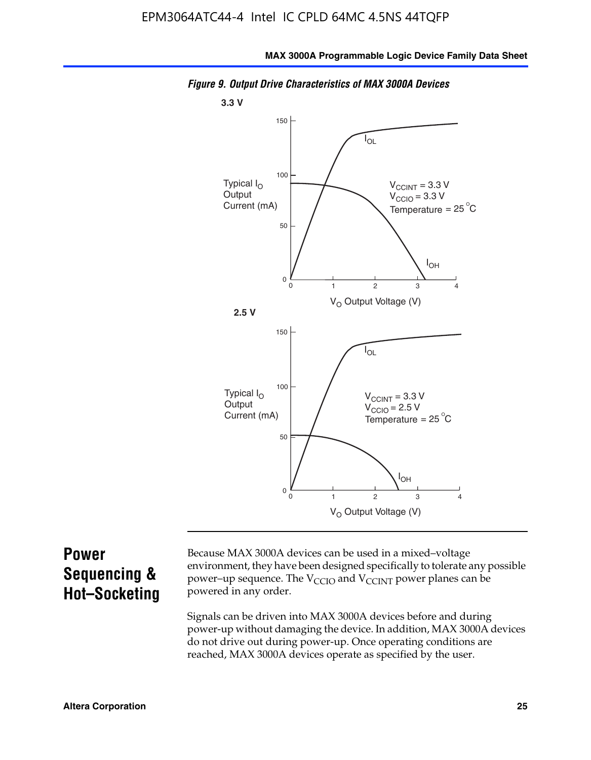

*Figure 9. Output Drive Characteristics of MAX 3000A Devices*

### **Power Sequencing & Hot–Socketing**

Because MAX 3000A devices can be used in a mixed–voltage environment, they have been designed specifically to tolerate any possible power–up sequence. The  $V_{CCIO}$  and  $V_{CCINT}$  power planes can be powered in any order.

Signals can be driven into MAX 3000A devices before and during power-up without damaging the device. In addition, MAX 3000A devices do not drive out during power-up. Once operating conditions are reached, MAX 3000A devices operate as specified by the user.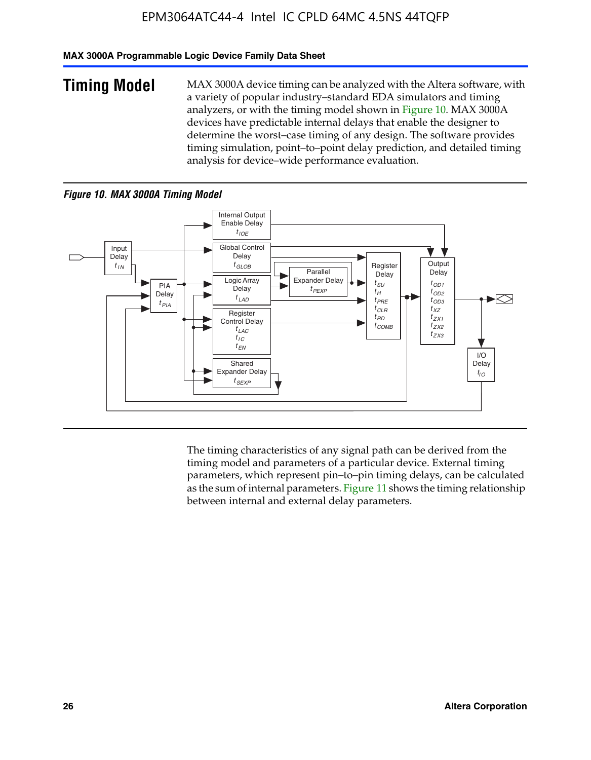### **MAX 3000A Programmable Logic Device Family Data Sheet**

**Timing Model** MAX 3000A device timing can be analyzed with the Altera software, with a variety of popular industry–standard EDA simulators and timing analyzers, or with the timing model shown in Figure 10. MAX 3000A devices have predictable internal delays that enable the designer to determine the worst–case timing of any design. The software provides timing simulation, point–to–point delay prediction, and detailed timing analysis for device–wide performance evaluation.

### *Figure 10. MAX 3000A Timing Model*



The timing characteristics of any signal path can be derived from the timing model and parameters of a particular device. External timing parameters, which represent pin–to–pin timing delays, can be calculated as the sum of internal parameters. Figure 11 shows the timing relationship between internal and external delay parameters.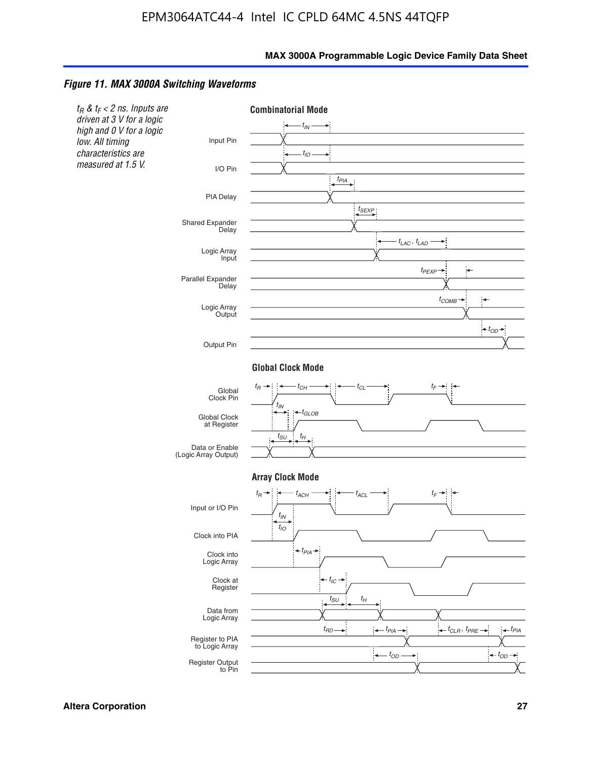### *Figure 11. MAX 3000A Switching Waveforms*

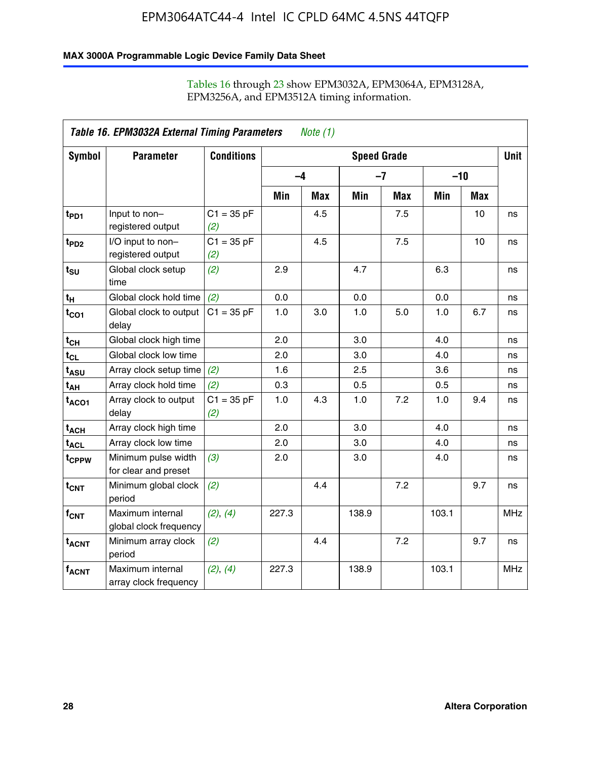### **MAX 3000A Programmable Logic Device Family Data Sheet**

|                   | Table 16. EPM3032A External Timing Parameters<br>Note $(1)$ |                     |                    |     |       |            |       |            |            |  |
|-------------------|-------------------------------------------------------------|---------------------|--------------------|-----|-------|------------|-------|------------|------------|--|
| Symbol            | <b>Parameter</b>                                            | <b>Conditions</b>   | <b>Speed Grade</b> |     |       |            |       |            |            |  |
|                   |                                                             |                     | $-4$               |     |       | $-7$       |       | $-10$      |            |  |
|                   |                                                             |                     | Min                | Max | Min   | <b>Max</b> | Min   | <b>Max</b> |            |  |
| t <sub>PD1</sub>  | Input to non-<br>registered output                          | $C1 = 35 pF$<br>(2) |                    | 4.5 |       | 7.5        |       | 10         | ns         |  |
| $t_{PD2}$         | I/O input to non-<br>registered output                      | $C1 = 35 pF$<br>(2) |                    | 4.5 |       | 7.5        |       | 10         | ns         |  |
| $t_{\text{SU}}$   | Global clock setup<br>time                                  | (2)                 | 2.9                |     | 4.7   |            | 6.3   |            | ns         |  |
| $t_H$             | Global clock hold time                                      | (2)                 | 0.0                |     | 0.0   |            | 0.0   |            | ns         |  |
| $t_{CO1}$         | Global clock to output<br>delay                             | $C1 = 35 pF$        | 1.0                | 3.0 | 1.0   | 5.0        | 1.0   | 6.7        | ns         |  |
| $t_{CH}$          | Global clock high time                                      |                     | 2.0                |     | 3.0   |            | 4.0   |            | ns         |  |
| $t_{CL}$          | Global clock low time                                       |                     | 2.0                |     | 3.0   |            | 4.0   |            | ns         |  |
| t <sub>ASU</sub>  | Array clock setup time                                      | (2)                 | 1.6                |     | 2.5   |            | 3.6   |            | ns         |  |
| t <sub>АН</sub>   | Array clock hold time                                       | (2)                 | 0.3                |     | 0.5   |            | 0.5   |            | ns         |  |
| t <sub>ACO1</sub> | Array clock to output<br>delay                              | $C1 = 35 pF$<br>(2) | 1.0                | 4.3 | 1.0   | 7.2        | 1.0   | 9.4        | ns         |  |
| t <sub>ACH</sub>  | Array clock high time                                       |                     | 2.0                |     | 3.0   |            | 4.0   |            | ns         |  |
| t <sub>ACL</sub>  | Array clock low time                                        |                     | 2.0                |     | 3.0   |            | 4.0   |            | ns         |  |
| t <sub>CPPW</sub> | Minimum pulse width<br>for clear and preset                 | (3)                 | 2.0                |     | 3.0   |            | 4.0   |            | ns         |  |
| $t_{\text{CNT}}$  | Minimum global clock<br>period                              | (2)                 |                    | 4.4 |       | 7.2        |       | 9.7        | ns         |  |
| $f_{\text{CNT}}$  | Maximum internal<br>global clock frequency                  | (2), (4)            | 227.3              |     | 138.9 |            | 103.1 |            | <b>MHz</b> |  |
| $t_{ACNT}$        | Minimum array clock<br>period                               | (2)                 |                    | 4.4 |       | 7.2        |       | 9.7        | ns         |  |
| <b>fACNT</b>      | Maximum internal<br>array clock frequency                   | (2), (4)            | 227.3              |     | 138.9 |            | 103.1 |            | <b>MHz</b> |  |

### Tables 16 through 23 show EPM3032A, EPM3064A, EPM3128A, EPM3256A, and EPM3512A timing information.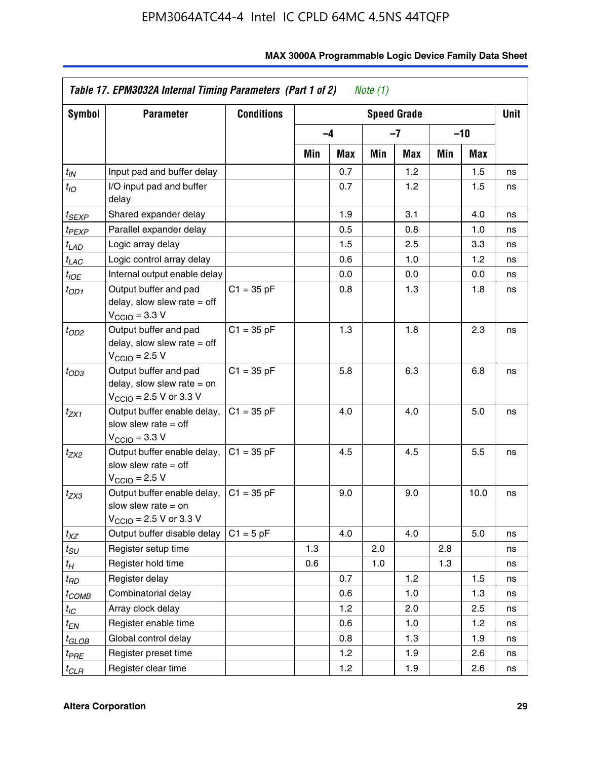| <b>Symbol</b>         | <b>Parameter</b>                                                                                             | <b>Conditions</b> | <b>Speed Grade</b> |      |     |     |     |      | <b>Unit</b> |
|-----------------------|--------------------------------------------------------------------------------------------------------------|-------------------|--------------------|------|-----|-----|-----|------|-------------|
|                       |                                                                                                              |                   |                    | $-4$ | -7  |     | -10 |      |             |
|                       |                                                                                                              |                   | Min                | Max  | Min | Max | Min | Max  |             |
| $t_{IN}$              | Input pad and buffer delay                                                                                   |                   |                    | 0.7  |     | 1.2 |     | 1.5  | ns          |
| $t_{IO}$              | I/O input pad and buffer<br>delay                                                                            |                   |                    | 0.7  |     | 1.2 |     | 1.5  | ns          |
| t <sub>SEXP</sub>     | Shared expander delay                                                                                        |                   |                    | 1.9  |     | 3.1 |     | 4.0  | ns          |
| t <sub>PEXP</sub>     | Parallel expander delay                                                                                      |                   |                    | 0.5  |     | 0.8 |     | 1.0  | ns          |
| t <sub>LAD</sub>      | Logic array delay                                                                                            |                   |                    | 1.5  |     | 2.5 |     | 3.3  | ns          |
| $t_{LAC}$             | Logic control array delay                                                                                    |                   |                    | 0.6  |     | 1.0 |     | 1.2  | ns          |
| $t_{IOE}$             | Internal output enable delay                                                                                 |                   |                    | 0.0  |     | 0.0 |     | 0.0  | ns          |
| t <sub>OD1</sub>      | Output buffer and pad<br>delay, slow slew rate $=$ off<br>$VCCIO = 3.3 V$                                    | $C1 = 35 pF$      |                    | 0.8  |     | 1.3 |     | 1.8  | ns          |
| $t_{OD2}$             | Output buffer and pad<br>delay, slow slew rate $=$ off<br>$V_{\text{CCIO}} = 2.5 V$                          | $C1 = 35 pF$      |                    | 1.3  |     | 1.8 |     | 2.3  | ns          |
| $t_{OD3}$             | Output buffer and pad<br>delay, slow slew rate $=$ on<br>$V_{\text{CCIO}} = 2.5 \text{ V or } 3.3 \text{ V}$ | $C1 = 35 pF$      |                    | 5.8  |     | 6.3 |     | 6.8  | ns          |
| $t_{ZX1}$             | Output buffer enable delay,<br>slow slew rate $=$ off<br>$V_{\text{CCIO}} = 3.3 V$                           | $C1 = 35 pF$      |                    | 4.0  |     | 4.0 |     | 5.0  | ns          |
| t <sub>ZX2</sub>      | Output buffer enable delay,<br>slow slew rate $=$ off<br>$V_{\text{CCIO}} = 2.5 V$                           | $C1 = 35 pF$      |                    | 4.5  |     | 4.5 |     | 5.5  | ns          |
| $t_{ZX3}$             | Output buffer enable delay,<br>slow slew rate $=$ on<br>$V_{\rm CClO}$ = 2.5 V or 3.3 V                      | $C1 = 35 pF$      |                    | 9.0  |     | 9.0 |     | 10.0 | ns          |
| $t_{XZ}$              | Output buffer disable delay                                                                                  | $C1 = 5$ pF       |                    | 4.0  |     | 4.0 |     | 5.0  | ns          |
| $t_{\scriptstyle SU}$ | Register setup time                                                                                          |                   | 1.3                |      | 2.0 |     | 2.8 |      | ns          |
| t <sub>Η</sub>        | Register hold time                                                                                           |                   | 0.6                |      | 1.0 |     | 1.3 |      | ns          |
| t <sub>RD</sub>       | Register delay                                                                                               |                   |                    | 0.7  |     | 1.2 |     | 1.5  | ns          |
| t <sub>COMB</sub>     | Combinatorial delay                                                                                          |                   |                    | 0.6  |     | 1.0 |     | 1.3  | ns          |
| $t_{IC}$              | Array clock delay                                                                                            |                   |                    | 1.2  |     | 2.0 |     | 2.5  | ns          |
| t <sub>EN</sub>       | Register enable time                                                                                         |                   |                    | 0.6  |     | 1.0 |     | 1.2  | ns          |
| t <sub>GLOB</sub>     | Global control delay                                                                                         |                   |                    | 0.8  |     | 1.3 |     | 1.9  | ns          |
| t <sub>PRE</sub>      | Register preset time                                                                                         |                   |                    | 1.2  |     | 1.9 |     | 2.6  | ns          |
| $t_{CLR}$             | Register clear time                                                                                          |                   |                    | 1.2  |     | 1.9 |     | 2.6  | ns          |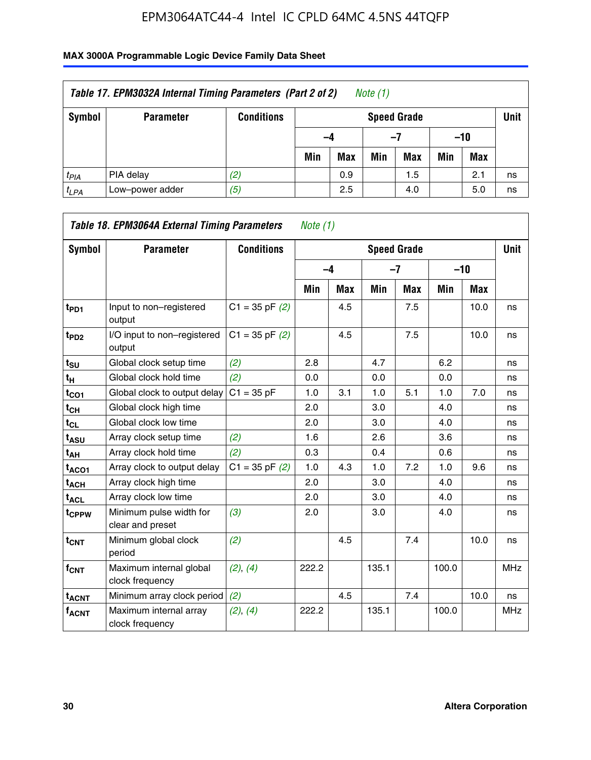| Table 17. EPM3032A Internal Timing Parameters (Part 2 of 2)<br>Note $(1)$ |                  |                   |     |                                   |     |            |     |       |    |  |  |
|---------------------------------------------------------------------------|------------------|-------------------|-----|-----------------------------------|-----|------------|-----|-------|----|--|--|
| Symbol                                                                    | <b>Parameter</b> | <b>Conditions</b> |     | <b>Unit</b><br><b>Speed Grade</b> |     |            |     |       |    |  |  |
|                                                                           |                  |                   |     | -4                                |     | -7         |     | $-10$ |    |  |  |
|                                                                           |                  |                   | Min | <b>Max</b>                        | Min | <b>Max</b> | Min | Max   |    |  |  |
| $t_{PIA}$                                                                 | PIA delay        | (2)               |     | 0.9                               |     | 1.5        |     | 2.1   | ns |  |  |
| $t_{LPA}$                                                                 | Low-power adder  | (5)               |     | 2.5                               |     | 4.0        |     | 5.0   | ns |  |  |

| Table 18. EPM3064A External Timing Parameters<br>Note (1) |                                             |                    |       |            |       |                    |       |       |             |  |
|-----------------------------------------------------------|---------------------------------------------|--------------------|-------|------------|-------|--------------------|-------|-------|-------------|--|
| Symbol                                                    | <b>Parameter</b>                            | <b>Conditions</b>  |       |            |       | <b>Speed Grade</b> |       |       | <b>Unit</b> |  |
|                                                           |                                             |                    |       | $-4$       |       | $-7$               |       | $-10$ |             |  |
|                                                           |                                             |                    | Min   | <b>Max</b> | Min   | <b>Max</b>         | Min   | Max   |             |  |
| t <sub>PD1</sub>                                          | Input to non-registered<br>output           | $C1 = 35$ pF $(2)$ |       | 4.5        |       | 7.5                |       | 10.0  | ns          |  |
| t <sub>PD2</sub>                                          | I/O input to non-registered<br>output       | $C1 = 35$ pF $(2)$ |       | 4.5        |       | 7.5                |       | 10.0  | ns          |  |
| $t_{\text{SU}}$                                           | Global clock setup time                     | (2)                | 2.8   |            | 4.7   |                    | 6.2   |       | ns          |  |
| t <sub>H</sub>                                            | Global clock hold time                      | (2)                | 0.0   |            | 0.0   |                    | 0.0   |       | ns          |  |
| $t_{CO1}$                                                 | Global clock to output delay                | $C1 = 35 pF$       | 1.0   | 3.1        | 1.0   | 5.1                | 1.0   | 7.0   | ns          |  |
| $t_{CH}$                                                  | Global clock high time                      |                    | 2.0   |            | 3.0   |                    | 4.0   |       | ns          |  |
| $t_{CL}$                                                  | Global clock low time                       |                    | 2.0   |            | 3.0   |                    | 4.0   |       | ns          |  |
| t <sub>ASU</sub>                                          | Array clock setup time                      | (2)                | 1.6   |            | 2.6   |                    | 3.6   |       | ns          |  |
| $t_{AH}$                                                  | Array clock hold time                       | (2)                | 0.3   |            | 0.4   |                    | 0.6   |       | ns          |  |
| $t_{ACO1}$                                                | Array clock to output delay                 | $C1 = 35$ pF $(2)$ | 1.0   | 4.3        | 1.0   | 7.2                | 1.0   | 9.6   | ns          |  |
| $t_{ACH}$                                                 | Array clock high time                       |                    | 2.0   |            | 3.0   |                    | 4.0   |       | ns          |  |
| $t_{\sf ACL}$                                             | Array clock low time                        |                    | 2.0   |            | 3.0   |                    | 4.0   |       | ns          |  |
| t <sub>CPPW</sub>                                         | Minimum pulse width for<br>clear and preset | (3)                | 2.0   |            | 3.0   |                    | 4.0   |       | ns          |  |
| $t_{\text{CNT}}$                                          | Minimum global clock<br>period              | (2)                |       | 4.5        |       | 7.4                |       | 10.0  | ns          |  |
| f <sub>CNT</sub>                                          | Maximum internal global<br>clock frequency  | (2), (4)           | 222.2 |            | 135.1 |                    | 100.0 |       | <b>MHz</b>  |  |
| <b>t<sub>ACNT</sub></b>                                   | Minimum array clock period                  | (2)                |       | 4.5        |       | 7.4                |       | 10.0  | ns          |  |
| <b>fACNT</b>                                              | Maximum internal array<br>clock frequency   | (2), (4)           | 222.2 |            | 135.1 |                    | 100.0 |       | <b>MHz</b>  |  |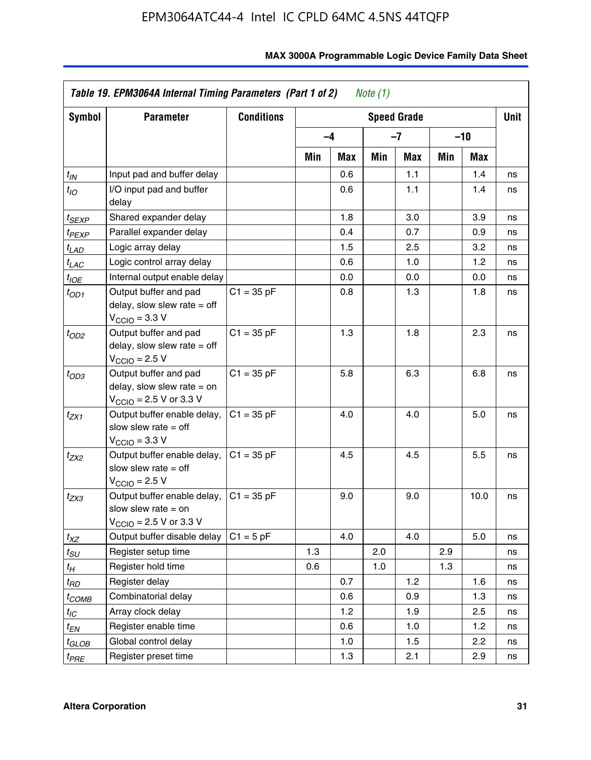| Symbol                | <b>Parameter</b>                                                                                             | <b>Conditions</b> |     |            |     | <b>Speed Grade</b> |     |            | <b>Unit</b> |
|-----------------------|--------------------------------------------------------------------------------------------------------------|-------------------|-----|------------|-----|--------------------|-----|------------|-------------|
|                       |                                                                                                              |                   |     | $-4$       |     | $-7$               |     | -10        |             |
|                       |                                                                                                              |                   | Min | <b>Max</b> | Min | Max                | Min | <b>Max</b> |             |
| $t_{\mathsf{IN}}$     | Input pad and buffer delay                                                                                   |                   |     | 0.6        |     | 1.1                |     | 1.4        | ns          |
| $t_{IO}$              | I/O input pad and buffer<br>delay                                                                            |                   |     | 0.6        |     | 1.1                |     | 1.4        | ns          |
| t <sub>SEXP</sub>     | Shared expander delay                                                                                        |                   |     | 1.8        |     | 3.0                |     | 3.9        | ns          |
| t <sub>PEXP</sub>     | Parallel expander delay                                                                                      |                   |     | 0.4        |     | 0.7                |     | 0.9        | ns          |
| $t_{LAD}$             | Logic array delay                                                                                            |                   |     | 1.5        |     | 2.5                |     | 3.2        | ns          |
| $t_{LAC}$             | Logic control array delay                                                                                    |                   |     | 0.6        |     | 1.0                |     | 1.2        | ns          |
| $t_{IOE}$             | Internal output enable delay                                                                                 |                   |     | 0.0        |     | 0.0                |     | 0.0        | ns          |
| $t_{OD1}$             | Output buffer and pad<br>delay, slow slew rate $=$ off<br>$V_{\text{CCIO}} = 3.3 \text{ V}$                  | $C1 = 35 pF$      |     | 0.8        |     | 1.3                |     | 1.8        | ns          |
| $t_{OD2}$             | Output buffer and pad<br>delay, slow slew rate $=$ off<br>$V_{\rm CClO}$ = 2.5 V                             | $C1 = 35 pF$      |     | 1.3        |     | 1.8                |     | 2.3        | ns          |
| $t_{OD3}$             | Output buffer and pad<br>delay, slow slew rate $=$ on<br>$V_{\text{CGIO}} = 2.5 \text{ V or } 3.3 \text{ V}$ | $C1 = 35 pF$      |     | 5.8        |     | 6.3                |     | 6.8        | ns          |
| $t_{ZX1}$             | Output buffer enable delay,<br>slow slew rate $=$ off<br>$V_{\text{CCIO}} = 3.3 V$                           | $C1 = 35 pF$      |     | 4.0        |     | 4.0                |     | 5.0        | ns          |
| t <sub>ZX2</sub>      | Output buffer enable delay,<br>slow slew rate $=$ off<br>$V_{\rm CClO}$ = 2.5 V                              | $C1 = 35 pF$      |     | 4.5        |     | 4.5                |     | 5.5        | ns          |
| t <sub>ZX3</sub>      | Output buffer enable delay,<br>slow slew rate $=$ on<br>$V_{\text{CCIO}} = 2.5 \text{ V or } 3.3 \text{ V}$  | $C1 = 35 pF$      |     | 9.0        |     | 9.0                |     | 10.0       | ns          |
| $t_{XZ}$              | Output buffer disable delay                                                                                  | $C1 = 5 pF$       |     | 4.0        |     | 4.0                |     | 5.0        | ns          |
| $t_{\scriptstyle SU}$ | Register setup time                                                                                          |                   | 1.3 |            | 2.0 |                    | 2.9 |            | ns          |
| $t_H$                 | Register hold time                                                                                           |                   | 0.6 |            | 1.0 |                    | 1.3 |            | ns          |
| t <sub>RD</sub>       | Register delay                                                                                               |                   |     | 0.7        |     | 1.2                |     | 1.6        | ns          |
| t <sub>COMB</sub>     | Combinatorial delay                                                                                          |                   |     | 0.6        |     | 0.9                |     | 1.3        | ns          |
| $t_{IC}$              | Array clock delay                                                                                            |                   |     | 1.2        |     | 1.9                |     | 2.5        | ns          |
| $t_{EN}$              | Register enable time                                                                                         |                   |     | 0.6        |     | 1.0                |     | 1.2        | ns          |
| t <sub>GLOB</sub>     | Global control delay                                                                                         |                   |     | 1.0        |     | 1.5                |     | 2.2        | ns          |
| $t_{PRE}$             | Register preset time                                                                                         |                   |     | 1.3        |     | 2.1                |     | 2.9        | ns          |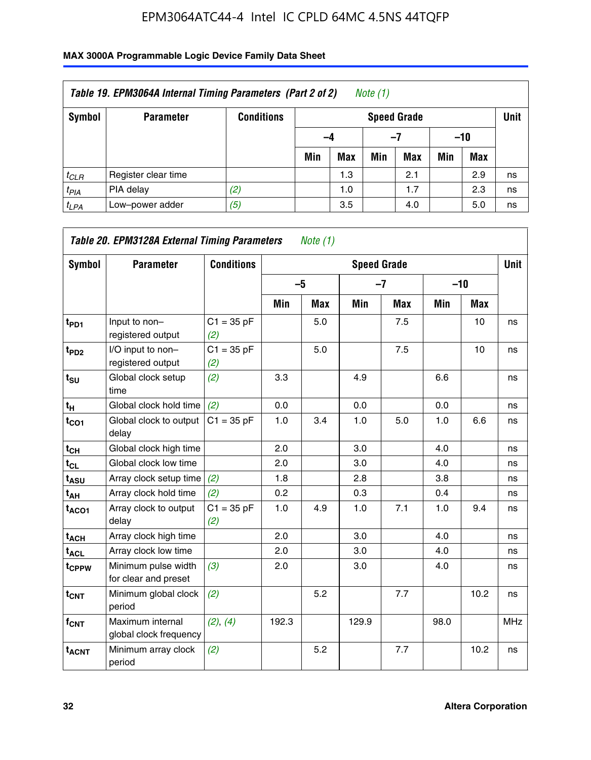| Table 19. EPM3064A Internal Timing Parameters (Part 2 of 2)<br>Note $(1)$ |                     |                   |     |                                   |     |            |     |            |    |  |  |
|---------------------------------------------------------------------------|---------------------|-------------------|-----|-----------------------------------|-----|------------|-----|------------|----|--|--|
| Symbol                                                                    | <b>Parameter</b>    | <b>Conditions</b> |     | <b>Unit</b><br><b>Speed Grade</b> |     |            |     |            |    |  |  |
|                                                                           |                     |                   |     | $-10$<br>-4<br>-7                 |     |            |     |            |    |  |  |
|                                                                           |                     |                   | Min | <b>Max</b>                        | Min | <b>Max</b> | Min | <b>Max</b> |    |  |  |
| $t_{CLR}$                                                                 | Register clear time |                   |     | 1.3                               |     | 2.1        |     | 2.9        | ns |  |  |
| $t_{PIA}$                                                                 | PIA delay           | (2)               |     | 1.0                               |     | 1.7        |     | 2.3        | ns |  |  |
| $t_{LPA}$                                                                 | Low-power adder     | (5)               |     | 3.5                               |     | 4.0        |     | 5.0        | ns |  |  |

| <b>Symbol</b>               | Table 20. EPM3128A External Timing Parameters<br><b>Parameter</b> | <b>Conditions</b>   |       | Note $(1)$ | <b>Speed Grade</b> |            |      |            | <b>Unit</b> |
|-----------------------------|-------------------------------------------------------------------|---------------------|-------|------------|--------------------|------------|------|------------|-------------|
|                             |                                                                   |                     | $-5$  |            | $-7$               |            |      | $-10$      |             |
|                             |                                                                   |                     | Min   | <b>Max</b> | Min                | <b>Max</b> | Min  | <b>Max</b> |             |
| t <sub>PD1</sub>            | Input to non-<br>registered output                                | $C1 = 35 pF$<br>(2) |       | 5.0        |                    | 7.5        |      | 10         | ns          |
| $t_{PD2}$                   | I/O input to non-<br>registered output                            | $C1 = 35 pF$<br>(2) |       | 5.0        |                    | 7.5        |      | 10         | ns          |
| $t_{\scriptstyle\text{SU}}$ | Global clock setup<br>time                                        | (2)                 | 3.3   |            | 4.9                |            | 6.6  |            | ns          |
| $t_H$                       | Global clock hold time                                            | (2)                 | 0.0   |            | 0.0                |            | 0.0  |            | ns          |
| $t_{CO1}$                   | Global clock to output<br>delay                                   | $C1 = 35 pF$        | 1.0   | 3.4        | 1.0                | 5.0        | 1.0  | 6.6        | ns          |
| $t_{CH}$                    | Global clock high time                                            |                     | 2.0   |            | 3.0                |            | 4.0  |            | ns          |
| $t_{CL}$                    | Global clock low time                                             |                     | 2.0   |            | 3.0                |            | 4.0  |            | ns          |
| t <sub>ASU</sub>            | Array clock setup time                                            | (2)                 | 1.8   |            | 2.8                |            | 3.8  |            | ns          |
| t <sub>AH</sub>             | Array clock hold time                                             | (2)                 | 0.2   |            | 0.3                |            | 0.4  |            | ns          |
| $t_{ACO1}$                  | Array clock to output<br>delay                                    | $C1 = 35 pF$<br>(2) | 1.0   | 4.9        | 1.0                | 7.1        | 1.0  | 9.4        | ns          |
| $t_{ACH}$                   | Array clock high time                                             |                     | 2.0   |            | 3.0                |            | 4.0  |            | ns          |
| $t_{\sf ACL}$               | Array clock low time                                              |                     | 2.0   |            | 3.0                |            | 4.0  |            | ns          |
| t <sub>CPPW</sub>           | Minimum pulse width<br>for clear and preset                       | (3)                 | 2.0   |            | 3.0                |            | 4.0  |            | ns          |
| $t_{\text{CNT}}$            | Minimum global clock<br>period                                    | (2)                 |       | 5.2        |                    | 7.7        |      | 10.2       | ns          |
| f <sub>CNT</sub>            | Maximum internal<br>global clock frequency                        | (2), (4)            | 192.3 |            | 129.9              |            | 98.0 |            | <b>MHz</b>  |
| <b>t<sub>ACNT</sub></b>     | Minimum array clock<br>period                                     | (2)                 |       | 5.2        |                    | 7.7        |      | 10.2       | ns          |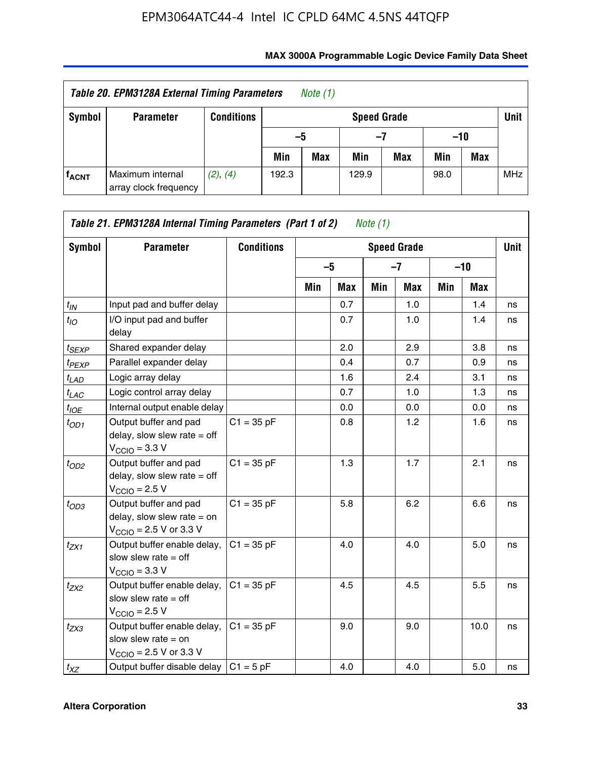| Table 20. EPM3128A External Timing Parameters<br>Note (1) |                                           |                   |                                   |            |       |     |       |     |            |  |  |
|-----------------------------------------------------------|-------------------------------------------|-------------------|-----------------------------------|------------|-------|-----|-------|-----|------------|--|--|
| Symbol                                                    | <b>Parameter</b>                          | <b>Conditions</b> | <b>Unit</b><br><b>Speed Grade</b> |            |       |     |       |     |            |  |  |
|                                                           |                                           |                   | -5                                |            | -7    |     | $-10$ |     |            |  |  |
|                                                           |                                           |                   | Min                               | <b>Max</b> | Min   | Max | Min   | Max |            |  |  |
| <b>f<sub>ACNT</sub></b>                                   | Maximum internal<br>array clock frequency | (2), (4)          | 192.3                             |            | 129.9 |     | 98.0  |     | <b>MHz</b> |  |  |

| Symbol            | <b>Parameter</b>                                                                                             | <b>Conditions</b> |     |      |     | <b>Speed Grade</b> |       |            | <b>Unit</b> |
|-------------------|--------------------------------------------------------------------------------------------------------------|-------------------|-----|------|-----|--------------------|-------|------------|-------------|
|                   |                                                                                                              |                   |     | $-5$ |     | $-7$               | $-10$ |            |             |
|                   |                                                                                                              |                   | Min | Max  | Min | <b>Max</b>         | Min   | <b>Max</b> |             |
| $t_{IN}$          | Input pad and buffer delay                                                                                   |                   |     | 0.7  |     | 1.0                |       | 1.4        | ns          |
| $t_{IO}$          | I/O input pad and buffer<br>delay                                                                            |                   |     | 0.7  |     | 1.0                |       | 1.4        | ns          |
| $t_{SEXP}$        | Shared expander delay                                                                                        |                   |     | 2.0  |     | 2.9                |       | 3.8        | ns          |
| t <sub>PEXP</sub> | Parallel expander delay                                                                                      |                   |     | 0.4  |     | 0.7                |       | 0.9        | ns          |
| $t_{LAD}$         | Logic array delay                                                                                            |                   |     | 1.6  |     | 2.4                |       | 3.1        | ns          |
| $t_{LAC}$         | Logic control array delay                                                                                    |                   |     | 0.7  |     | 1.0                |       | 1.3        | ns          |
| $t_{IOE}$         | Internal output enable delay                                                                                 |                   |     | 0.0  |     | 0.0                |       | 0.0        | ns          |
| $t_{OD1}$         | Output buffer and pad<br>delay, slow slew rate $=$ off<br>$V_{\text{CCIO}} = 3.3 V$                          | $C1 = 35 pF$      |     | 0.8  |     | 1.2                |       | 1.6        | ns          |
| $t_{OD2}$         | Output buffer and pad<br>delay, slow slew rate $=$ off<br>$V_{\text{CCIO}} = 2.5 V$                          | $C1 = 35 pF$      |     | 1.3  |     | 1.7                |       | 2.1        | ns          |
| $t_{OD3}$         | Output buffer and pad<br>delay, slow slew rate $=$ on<br>$V_{\text{CCIO}} = 2.5 \text{ V or } 3.3 \text{ V}$ | $C1 = 35 pF$      |     | 5.8  |     | 6.2                |       | 6.6        | ns          |
| $t_{ZX1}$         | Output buffer enable delay,<br>slow slew rate $=$ off<br>$V_{\text{CCIO}} = 3.3 V$                           | $C1 = 35 pF$      |     | 4.0  |     | 4.0                |       | 5.0        | ns          |
| $t_{ZX2}$         | Output buffer enable delay,<br>slow slew rate $=$ off<br>$V_{\text{CCIO}} = 2.5 V$                           | $C1 = 35 pF$      |     | 4.5  |     | 4.5                |       | 5.5        | ns          |
| $t_{ZX3}$         | Output buffer enable delay,<br>slow slew rate $=$ on<br>$V_{\text{CCIO}} = 2.5 \text{ V or } 3.3 \text{ V}$  | $C1 = 35 pF$      |     | 9.0  |     | 9.0                |       | 10.0       | ns          |
| $t_{XZ}$          | Output buffer disable delay                                                                                  | $C1 = 5pF$        |     | 4.0  |     | 4.0                |       | 5.0        | ns          |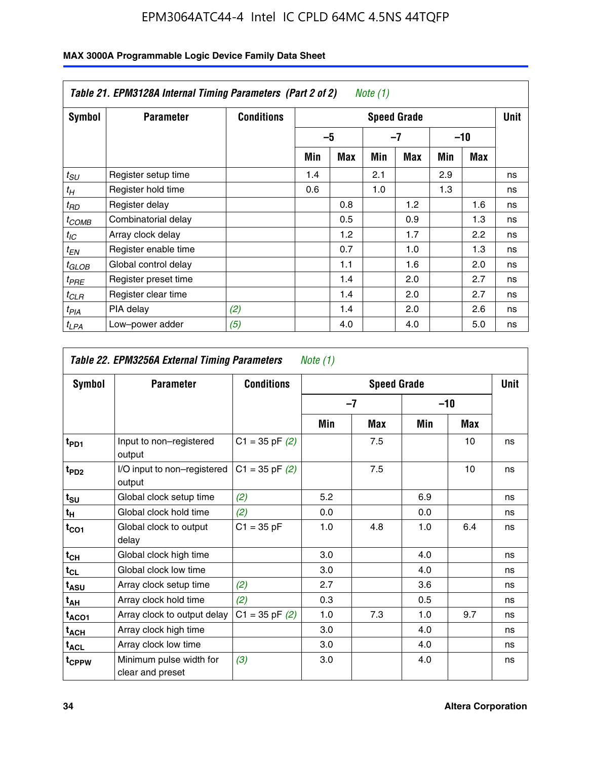|                   | Table 21. EPM3128A Internal Timing Parameters (Part 2 of 2)<br>Note (1) |                   |                    |            |     |     |     |       |    |  |  |
|-------------------|-------------------------------------------------------------------------|-------------------|--------------------|------------|-----|-----|-----|-------|----|--|--|
| Symbol            | <b>Parameter</b>                                                        | <b>Conditions</b> | <b>Speed Grade</b> |            |     |     |     |       |    |  |  |
|                   |                                                                         |                   |                    | -5         |     | -7  |     | $-10$ |    |  |  |
|                   |                                                                         |                   | Min                | <b>Max</b> | Min | Max | Min | Max   |    |  |  |
| $t_{SU}$          | Register setup time                                                     |                   | 1.4                |            | 2.1 |     | 2.9 |       | ns |  |  |
| $t_H$             | Register hold time                                                      |                   | 0.6                |            | 1.0 |     | 1.3 |       | ns |  |  |
| $t_{RD}$          | Register delay                                                          |                   |                    | 0.8        |     | 1.2 |     | 1.6   | ns |  |  |
| t <sub>COMB</sub> | Combinatorial delay                                                     |                   |                    | 0.5        |     | 0.9 |     | 1.3   | ns |  |  |
| $t_{IC}$          | Array clock delay                                                       |                   |                    | 1.2        |     | 1.7 |     | 2.2   | ns |  |  |
| t <sub>EN</sub>   | Register enable time                                                    |                   |                    | 0.7        |     | 1.0 |     | 1.3   | ns |  |  |
| $t_{GLOB}$        | Global control delay                                                    |                   |                    | 1.1        |     | 1.6 |     | 2.0   | ns |  |  |
| $t_{PRE}$         | Register preset time                                                    |                   |                    | 1.4        |     | 2.0 |     | 2.7   | ns |  |  |
| $t_{CLR}$         | Register clear time                                                     |                   |                    | 1.4        |     | 2.0 |     | 2.7   | ns |  |  |
| t <sub>PIA</sub>  | PIA delay                                                               | (2)               |                    | 1.4        |     | 2.0 |     | 2.6   | ns |  |  |
| $t_{LPA}$         | Low-power adder                                                         | (5)               |                    | 4.0        |     | 4.0 |     | 5.0   | ns |  |  |

| Table 22. EPM3256A External Timing Parameters<br>Note $(1)$ |                                             |                    |     |                    |       |     |             |  |  |  |
|-------------------------------------------------------------|---------------------------------------------|--------------------|-----|--------------------|-------|-----|-------------|--|--|--|
| Symbol                                                      | <b>Parameter</b>                            | <b>Conditions</b>  |     | <b>Speed Grade</b> |       |     | <b>Unit</b> |  |  |  |
|                                                             |                                             |                    |     | $-7$               | $-10$ |     |             |  |  |  |
|                                                             |                                             |                    | Min | Max                | Min   | Max |             |  |  |  |
| $t_{PD1}$                                                   | Input to non-registered<br>output           | $C1 = 35$ pF $(2)$ |     | 7.5                |       | 10  | ns          |  |  |  |
| t <sub>PD2</sub>                                            | I/O input to non-registered<br>output       | $C1 = 35$ pF $(2)$ |     | 7.5                |       | 10  | ns          |  |  |  |
| $t_{s\underline{u}}$                                        | Global clock setup time                     | (2)                | 5.2 |                    | 6.9   |     | ns          |  |  |  |
| $t_H$                                                       | Global clock hold time                      | (2)                | 0.0 |                    | 0.0   |     | ns          |  |  |  |
| $t_{CO1}$                                                   | Global clock to output<br>delay             | $C1 = 35 pF$       | 1.0 | 4.8                | 1.0   | 6.4 | ns          |  |  |  |
| $t_{CH}$                                                    | Global clock high time                      |                    | 3.0 |                    | 4.0   |     | ns          |  |  |  |
| $t_{CL}$                                                    | Global clock low time                       |                    | 3.0 |                    | 4.0   |     | ns          |  |  |  |
| t <sub>ASU</sub>                                            | Array clock setup time                      | (2)                | 2.7 |                    | 3.6   |     | ns          |  |  |  |
| $t_{AH}$                                                    | Array clock hold time                       | (2)                | 0.3 |                    | 0.5   |     | ns          |  |  |  |
| t <sub>ACO1</sub>                                           | Array clock to output delay                 | $C1 = 35$ pF $(2)$ | 1.0 | 7.3                | 1.0   | 9.7 | ns          |  |  |  |
| $t_{\sf ACH}$                                               | Array clock high time                       |                    | 3.0 |                    | 4.0   |     | ns          |  |  |  |
| $t_{\text{ACL}}$                                            | Array clock low time                        |                    | 3.0 |                    | 4.0   |     | ns          |  |  |  |
| t <sub>CPPW</sub>                                           | Minimum pulse width for<br>clear and preset | (3)                | 3.0 |                    | 4.0   |     | ns          |  |  |  |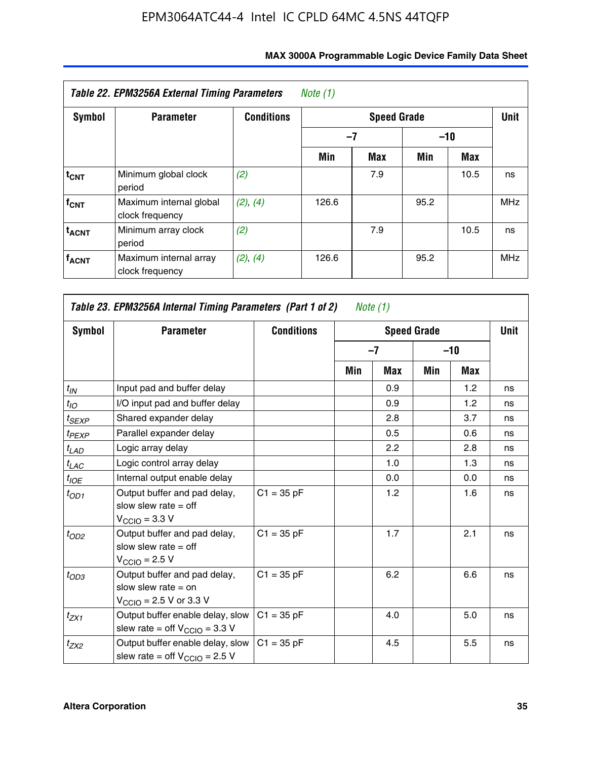| Table 22. EPM3256A External Timing Parameters<br>Note (1) |                                            |                   |       |             |             |      |            |  |  |  |
|-----------------------------------------------------------|--------------------------------------------|-------------------|-------|-------------|-------------|------|------------|--|--|--|
| <b>Symbol</b>                                             | <b>Parameter</b>                           | <b>Conditions</b> |       |             | <b>Unit</b> |      |            |  |  |  |
|                                                           |                                            |                   |       | -7<br>$-10$ |             |      |            |  |  |  |
|                                                           |                                            |                   | Min   | <b>Max</b>  | Min         | Max  |            |  |  |  |
| $t_{CNT}$                                                 | Minimum global clock<br>period             | (2)               |       | 7.9         |             | 10.5 | ns         |  |  |  |
| $f_{CNT}$                                                 | Maximum internal global<br>clock frequency | (2), (4)          | 126.6 |             | 95.2        |      | <b>MHz</b> |  |  |  |
| <b>t<sub>ACNT</sub></b>                                   | Minimum array clock<br>period              | (2)               |       | 7.9         |             | 10.5 | ns         |  |  |  |
| <b>f<sub>ACNT</sub></b>                                   | Maximum internal array<br>clock frequency  | (2), (4)          | 126.6 |             | 95.2        |      | <b>MHz</b> |  |  |  |

| Table 23. EPM3256A Internal Timing Parameters (Part 1 of 2)<br>Note $(1)$ |                                                                                                              |                   |     |            |                    |       |             |  |  |
|---------------------------------------------------------------------------|--------------------------------------------------------------------------------------------------------------|-------------------|-----|------------|--------------------|-------|-------------|--|--|
| Symbol                                                                    | <b>Parameter</b>                                                                                             | <b>Conditions</b> |     |            | <b>Speed Grade</b> |       | <b>Unit</b> |  |  |
|                                                                           |                                                                                                              |                   |     | $-7$       |                    | $-10$ |             |  |  |
|                                                                           |                                                                                                              |                   | Min | <b>Max</b> | Min                | Max   |             |  |  |
| $t_{IN}$                                                                  | Input pad and buffer delay                                                                                   |                   |     | 0.9        |                    | 1.2   | ns          |  |  |
| $t_{IO}$                                                                  | I/O input pad and buffer delay                                                                               |                   |     | 0.9        |                    | 1.2   | ns          |  |  |
| $t_{SEXP}$                                                                | Shared expander delay                                                                                        |                   |     | 2.8        |                    | 3.7   | ns          |  |  |
| $t_{PEXP}$                                                                | Parallel expander delay                                                                                      |                   |     | 0.5        |                    | 0.6   | ns          |  |  |
| $t_{LAD}$                                                                 | Logic array delay                                                                                            |                   |     | 2.2        |                    | 2.8   | ns          |  |  |
| $t_{LAC}$                                                                 | Logic control array delay                                                                                    |                   |     | 1.0        |                    | 1.3   | ns          |  |  |
| $t_{IOE}$                                                                 | Internal output enable delay                                                                                 |                   |     | 0.0        |                    | 0.0   | ns          |  |  |
| $t_{OD1}$                                                                 | Output buffer and pad delay,<br>slow slew rate $=$ off<br>$V_{\text{CCIO}} = 3.3 V$                          | $C1 = 35 pF$      |     | 1.2        |                    | 1.6   | ns          |  |  |
| $t_{OD2}$                                                                 | Output buffer and pad delay,<br>slow slew rate $=$ off<br>$V_{\text{CCIO}} = 2.5 V$                          | $C1 = 35 pF$      |     | 1.7        |                    | 2.1   | ns          |  |  |
| $t_{OD3}$                                                                 | Output buffer and pad delay,<br>slow slew rate $=$ on<br>$V_{\text{CCIO}} = 2.5 \text{ V or } 3.3 \text{ V}$ | $C1 = 35 pF$      |     | 6.2        |                    | 6.6   | ns          |  |  |
| $t_{ZX1}$                                                                 | Output buffer enable delay, slow<br>slew rate = off $V_{\text{CCIO}} = 3.3 V$                                | $C1 = 35 pF$      |     | 4.0        |                    | 5.0   | ns          |  |  |
| $t_{ZX2}$                                                                 | Output buffer enable delay, slow<br>slew rate = off $V_{\text{CCIO}} = 2.5 V$                                | $C1 = 35 pF$      |     | 4.5        |                    | 5.5   | ns          |  |  |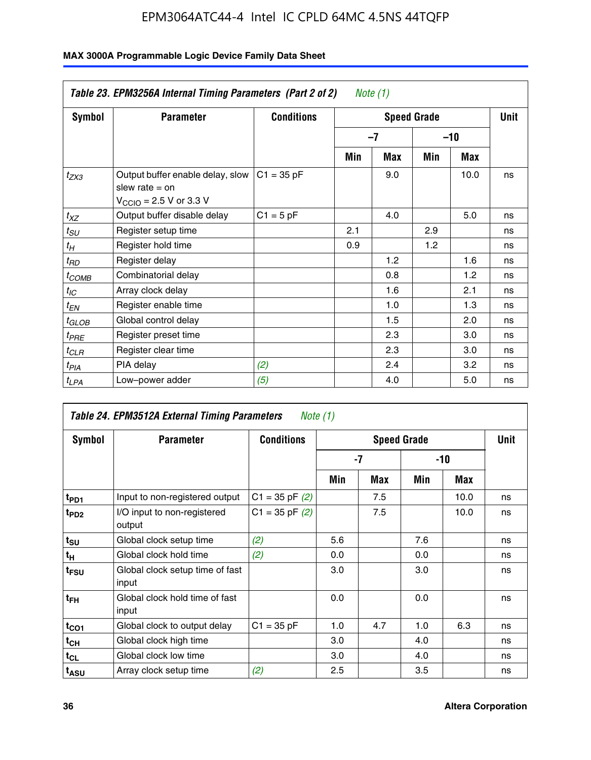| Table 23. EPM3256A Internal Timing Parameters (Part 2 of 2)<br>Note (1) |                                                                                                             |                   |     |      |     |            |    |  |  |  |
|-------------------------------------------------------------------------|-------------------------------------------------------------------------------------------------------------|-------------------|-----|------|-----|------------|----|--|--|--|
| Symbol                                                                  | <b>Parameter</b>                                                                                            | <b>Conditions</b> |     | Unit |     |            |    |  |  |  |
|                                                                         |                                                                                                             |                   |     | $-7$ |     | $-10$      |    |  |  |  |
|                                                                         |                                                                                                             |                   | Min | Max  | Min | <b>Max</b> |    |  |  |  |
| $t_{ZX3}$                                                               | Output buffer enable delay, slow<br>slew rate $=$ on<br>$V_{\text{CCIO}} = 2.5 \text{ V or } 3.3 \text{ V}$ | $C1 = 35 pF$      |     | 9.0  |     | 10.0       | ns |  |  |  |
| $t_{XZ}$                                                                | Output buffer disable delay                                                                                 | $C1 = 5$ pF       |     | 4.0  |     | 5.0        | ns |  |  |  |
| $t_{SU}$                                                                | Register setup time                                                                                         |                   | 2.1 |      | 2.9 |            | ns |  |  |  |
| $t_H$                                                                   | Register hold time                                                                                          |                   | 0.9 |      | 1.2 |            | ns |  |  |  |
| $t_{RD}$                                                                | Register delay                                                                                              |                   |     | 1.2  |     | 1.6        | ns |  |  |  |
| $t_{COMB}$                                                              | Combinatorial delay                                                                                         |                   |     | 0.8  |     | 1.2        | ns |  |  |  |
| $t_{IC}$                                                                | Array clock delay                                                                                           |                   |     | 1.6  |     | 2.1        | ns |  |  |  |
| $t_{EN}$                                                                | Register enable time                                                                                        |                   |     | 1.0  |     | 1.3        | ns |  |  |  |
| $t_{GLOB}$                                                              | Global control delay                                                                                        |                   |     | 1.5  |     | 2.0        | ns |  |  |  |
| $t_{PRE}$                                                               | Register preset time                                                                                        |                   |     | 2.3  |     | 3.0        | ns |  |  |  |
| $t_{CLR}$                                                               | Register clear time                                                                                         |                   |     | 2.3  |     | 3.0        | ns |  |  |  |
| $t_{PIA}$                                                               | PIA delay                                                                                                   | (2)               |     | 2.4  |     | 3.2        | ns |  |  |  |
| $t_{LPA}$                                                               | Low-power adder                                                                                             | (5)               |     | 4.0  |     | 5.0        | ns |  |  |  |

| Table 24. EPM3512A External Timing Parameters<br>Note (1) |                                          |                    |                    |     |       |      |    |
|-----------------------------------------------------------|------------------------------------------|--------------------|--------------------|-----|-------|------|----|
| Symbol                                                    | <b>Parameter</b>                         | <b>Conditions</b>  | <b>Speed Grade</b> |     |       | Unit |    |
|                                                           |                                          |                    | -7                 |     | $-10$ |      |    |
|                                                           |                                          |                    | Min                | Max | Min   | Max  |    |
| t <sub>PD1</sub>                                          | Input to non-registered output           | $C1 = 35$ pF $(2)$ |                    | 7.5 |       | 10.0 | ns |
| $t_{PD2}$                                                 | I/O input to non-registered<br>output    | $C1 = 35 pF(2)$    |                    | 7.5 |       | 10.0 | ns |
| $t_{\text{SU}}$                                           | Global clock setup time                  | (2)                | 5.6                |     | 7.6   |      | ns |
| $t_H$                                                     | Global clock hold time                   | (2)                | 0.0                |     | 0.0   |      | ns |
| t <sub>FSU</sub>                                          | Global clock setup time of fast<br>input |                    | 3.0                |     | 3.0   |      | ns |
| t <sub>FH</sub>                                           | Global clock hold time of fast<br>input  |                    | 0.0                |     | 0.0   |      | ns |
| $t_{CO1}$                                                 | Global clock to output delay             | $C1 = 35 pF$       | 1.0                | 4.7 | 1.0   | 6.3  | ns |
| $t_{CH}$                                                  | Global clock high time                   |                    | 3.0                |     | 4.0   |      | ns |
| $t_{CL}$                                                  | Global clock low time                    |                    | 3.0                |     | 4.0   |      | ns |
| t <sub>ASU</sub>                                          | Array clock setup time                   | (2)                | 2.5                |     | 3.5   |      | ns |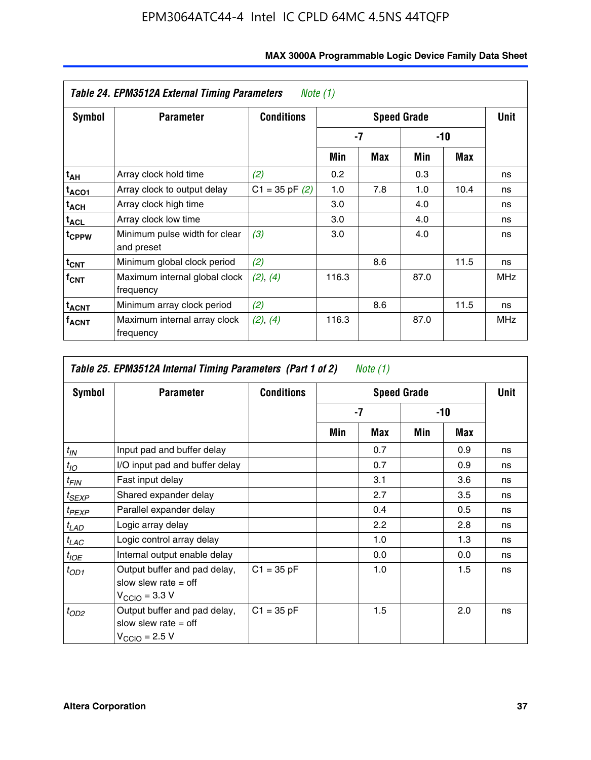| Table 24. EPM3512A External Timing Parameters<br>Note $(1)$ |                                             |                    |       |      |       |      |            |
|-------------------------------------------------------------|---------------------------------------------|--------------------|-------|------|-------|------|------------|
| <b>Symbol</b>                                               | <b>Parameter</b>                            | <b>Conditions</b>  |       | Unit |       |      |            |
|                                                             |                                             |                    | -7    |      | $-10$ |      |            |
|                                                             |                                             |                    | Min   | Max  | Min   | Max  |            |
| t <sub>АН</sub>                                             | Array clock hold time                       | (2)                | 0.2   |      | 0.3   |      | ns         |
| t <sub>ACO1</sub>                                           | Array clock to output delay                 | $C1 = 35$ pF $(2)$ | 1.0   | 7.8  | 1.0   | 10.4 | ns         |
| t <sub>АСН</sub>                                            | Array clock high time                       |                    | 3.0   |      | 4.0   |      | ns         |
| t <sub>ACL</sub>                                            | Array clock low time                        |                    | 3.0   |      | 4.0   |      | ns         |
| <sup>t</sup> CPPW                                           | Minimum pulse width for clear<br>and preset | (3)                | 3.0   |      | 4.0   |      | ns         |
| $t_{\text{CNT}}$                                            | Minimum global clock period                 | (2)                |       | 8.6  |       | 11.5 | ns         |
| $f_{CNT}$                                                   | Maximum internal global clock<br>frequency  | (2), (4)           | 116.3 |      | 87.0  |      | <b>MHz</b> |
| $t_{ACNT}$                                                  | Minimum array clock period                  | (2)                |       | 8.6  |       | 11.5 | ns         |
| <sup>f</sup> acnt                                           | Maximum internal array clock<br>frequency   | (2), (4)           | 116.3 |      | 87.0  |      | <b>MHz</b> |

| Table 25. EPM3512A Internal Timing Parameters (Part 1 of 2) Note $(1)$ |                                                                                     |                   |     |      |       |     |    |
|------------------------------------------------------------------------|-------------------------------------------------------------------------------------|-------------------|-----|------|-------|-----|----|
| Symbol                                                                 | <b>Parameter</b>                                                                    | <b>Conditions</b> |     | Unit |       |     |    |
|                                                                        |                                                                                     |                   | -7  |      | $-10$ |     |    |
|                                                                        |                                                                                     |                   | Min | Max  | Min   | Max |    |
| $t_{IN}$                                                               | Input pad and buffer delay                                                          |                   |     | 0.7  |       | 0.9 | ns |
| $t_{IO}$                                                               | I/O input pad and buffer delay                                                      |                   |     | 0.7  |       | 0.9 | ns |
| $t_{FIN}$                                                              | Fast input delay                                                                    |                   |     | 3.1  |       | 3.6 | ns |
| $t_{SEXP}$                                                             | Shared expander delay                                                               |                   |     | 2.7  |       | 3.5 | ns |
| $t_{PEXP}$                                                             | Parallel expander delay                                                             |                   |     | 0.4  |       | 0.5 | ns |
| $t_{LAD}$                                                              | Logic array delay                                                                   |                   |     | 2.2  |       | 2.8 | ns |
| $t_{LAC}$                                                              | Logic control array delay                                                           |                   |     | 1.0  |       | 1.3 | ns |
| $t_{IOE}$                                                              | Internal output enable delay                                                        |                   |     | 0.0  |       | 0.0 | ns |
| $t_{OD1}$                                                              | Output buffer and pad delay,<br>slow slew rate $=$ off<br>$V_{\rm CClO}$ = 3.3 V    | $C1 = 35 pF$      |     | 1.0  |       | 1.5 | ns |
| $t_{OD2}$                                                              | Output buffer and pad delay,<br>slow slew rate $=$ off<br>$V_{\text{CCIO}} = 2.5 V$ | $C1 = 35 pF$      |     | 1.5  |       | 2.0 | ns |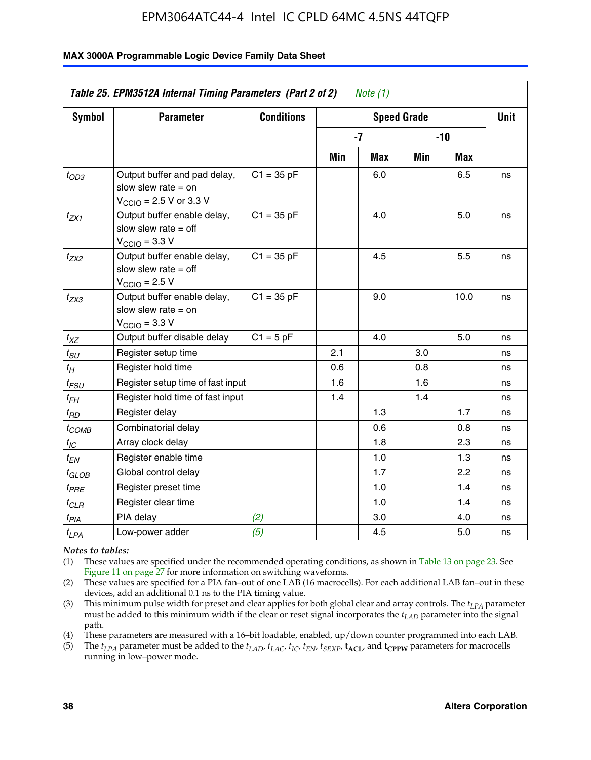### **MAX 3000A Programmable Logic Device Family Data Sheet**

| Table 25. EPM3512A Internal Timing Parameters (Part 2 of 2)<br>Note $(1)$ |                                                                                                              |                   |      |             |       |      |    |
|---------------------------------------------------------------------------|--------------------------------------------------------------------------------------------------------------|-------------------|------|-------------|-------|------|----|
| <b>Symbol</b>                                                             | <b>Parameter</b>                                                                                             | <b>Conditions</b> |      | <b>Unit</b> |       |      |    |
|                                                                           |                                                                                                              |                   | $-7$ |             | $-10$ |      |    |
|                                                                           |                                                                                                              |                   | Min  | Max         | Min   | Max  |    |
| $t_{OD3}$                                                                 | Output buffer and pad delay,<br>slow slew rate $=$ on<br>$V_{\text{CCIO}} = 2.5 \text{ V or } 3.3 \text{ V}$ | $C1 = 35 pF$      |      | 6.0         |       | 6.5  | ns |
| $t_{ZX1}$                                                                 | Output buffer enable delay,<br>slow slew rate $=$ off<br>$V_{\text{CCIO}} = 3.3 \text{ V}$                   | $C1 = 35 pF$      |      | 4.0         |       | 5.0  | ns |
| t <sub>ZX2</sub>                                                          | Output buffer enable delay,<br>slow slew rate $=$ off<br>$V_{\text{CCIO}} = 2.5 V$                           | $C1 = 35 pF$      |      | 4.5         |       | 5.5  | ns |
| t <sub>ZX3</sub>                                                          | Output buffer enable delay,<br>slow slew rate $=$ on<br>$V_{\text{CCIO}} = 3.3 V$                            | $C1 = 35 pF$      |      | 9.0         |       | 10.0 | ns |
| $t_{XZ}$                                                                  | Output buffer disable delay                                                                                  | $C1 = 5pF$        |      | 4.0         |       | 5.0  | ns |
| $t_{\scriptstyle SU}$                                                     | Register setup time                                                                                          |                   | 2.1  |             | 3.0   |      | ns |
| $t_H$                                                                     | Register hold time                                                                                           |                   | 0.6  |             | 0.8   |      | ns |
| $t_{\it FSU}$                                                             | Register setup time of fast input                                                                            |                   | 1.6  |             | 1.6   |      | ns |
| t <sub>FH</sub>                                                           | Register hold time of fast input                                                                             |                   | 1.4  |             | 1.4   |      | ns |
| t <sub>RD</sub>                                                           | Register delay                                                                                               |                   |      | 1.3         |       | 1.7  | ns |
| t <sub>COMB</sub>                                                         | Combinatorial delay                                                                                          |                   |      | 0.6         |       | 0.8  | ns |
| $t_{IC}$                                                                  | Array clock delay                                                                                            |                   |      | 1.8         |       | 2.3  | ns |
| $t_{EN}$                                                                  | Register enable time                                                                                         |                   |      | 1.0         |       | 1.3  | ns |
| $t_{\scriptstyle\rm GLOB}$                                                | Global control delay                                                                                         |                   |      | 1.7         |       | 2.2  | ns |
| $t_{PRE}$                                                                 | Register preset time                                                                                         |                   |      | 1.0         |       | 1.4  | ns |
| $t_{\mathcal{C}\mathcal{L}\mathcal{B}}$                                   | Register clear time                                                                                          |                   |      | 1.0         |       | 1.4  | ns |
| $t_{PIA}$                                                                 | PIA delay                                                                                                    | (2)               |      | 3.0         |       | 4.0  | ns |
| $t_{LPA}$                                                                 | Low-power adder                                                                                              | (5)               |      | 4.5         |       | 5.0  | ns |

*Notes to tables:*

(1) These values are specified under the recommended operating conditions, as shown in Table 13 on page 23. See Figure 11 on page 27 for more information on switching waveforms.

(2) These values are specified for a PIA fan–out of one LAB (16 macrocells). For each additional LAB fan–out in these devices, add an additional 0.1 ns to the PIA timing value.

(3) This minimum pulse width for preset and clear applies for both global clear and array controls. The *tLPA* parameter must be added to this minimum width if the clear or reset signal incorporates the *tLAD* parameter into the signal path.

(4) These parameters are measured with a 16–bit loadable, enabled, up/down counter programmed into each LAB.

(5) The  $t_{LPA}$  parameter must be added to the  $t_{LAD}$ ,  $t_{LAC}$ ,  $t_{IC}$ ,  $t_{EN}$ ,  $t_{SEXP}$ ,  $t_{ACL}$ , and  $t_{CPPW}$  parameters for macrocells running in low–power mode.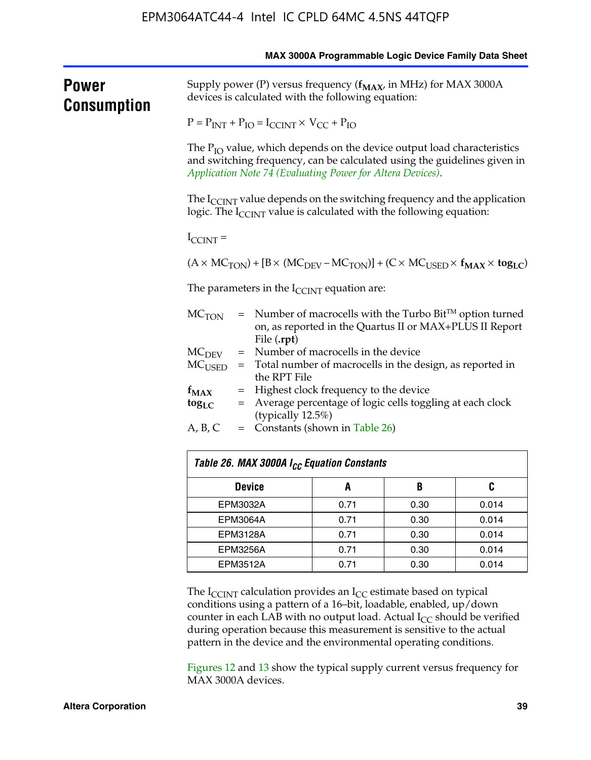|                      |                                                           |                                                                                                                                                                                                                       |      |      | MAX 3000A Programmable Logic Device Family Data Sheet |  |  |  |
|----------------------|-----------------------------------------------------------|-----------------------------------------------------------------------------------------------------------------------------------------------------------------------------------------------------------------------|------|------|-------------------------------------------------------|--|--|--|
| Power<br>Consumption |                                                           | Supply power (P) versus frequency ( $f_{MAX}$ , in MHz) for MAX 3000A<br>devices is calculated with the following equation:                                                                                           |      |      |                                                       |  |  |  |
|                      |                                                           | $P = P_{INT} + P_{IO} = I_{CCINT} \times V_{CC} + P_{IO}$                                                                                                                                                             |      |      |                                                       |  |  |  |
|                      |                                                           | The $P_{IO}$ value, which depends on the device output load characteristics<br>and switching frequency, can be calculated using the guidelines given in<br>Application Note 74 (Evaluating Power for Altera Devices). |      |      |                                                       |  |  |  |
|                      |                                                           | The $I_{\text{CCINT}}$ value depends on the switching frequency and the application<br>logic. The $I_{\text{CCINT}}$ value is calculated with the following equation:                                                 |      |      |                                                       |  |  |  |
|                      | $I_{\text{CCINT}}$ =                                      |                                                                                                                                                                                                                       |      |      |                                                       |  |  |  |
|                      |                                                           | $(A \times MC_{TON}) + [B \times (MC_{DEV} - MC_{TON})] + (C \times MC_{USED} \times f_{MAX} \times tog_{LC})$                                                                                                        |      |      |                                                       |  |  |  |
|                      |                                                           | The parameters in the $I_{\text{CCINT}}$ equation are:                                                                                                                                                                |      |      |                                                       |  |  |  |
|                      | MC <sub>TON</sub>                                         | $=$ Number of macrocells with the Turbo Bit <sup>TM</sup> option turned<br>on, as reported in the Quartus II or MAX+PLUS II Report<br>File (.rpt)                                                                     |      |      |                                                       |  |  |  |
|                      | = Number of macrocells in the device<br>MC <sub>DEV</sub> |                                                                                                                                                                                                                       |      |      |                                                       |  |  |  |
|                      | $MC_{\rm{USED}}$                                          | = Total number of macrocells in the design, as reported in<br>the RPT File<br>Highest clock frequency to the device<br>$=$<br>= Average percentage of logic cells toggling at each clock<br>(typically 12.5%)         |      |      |                                                       |  |  |  |
|                      | $f_{MAX}$                                                 |                                                                                                                                                                                                                       |      |      |                                                       |  |  |  |
|                      | $\log_{LC}$                                               |                                                                                                                                                                                                                       |      |      |                                                       |  |  |  |
|                      | A, B, C                                                   | $=$ Constants (shown in Table 26)                                                                                                                                                                                     |      |      |                                                       |  |  |  |
|                      |                                                           | Table 26. MAX 3000A I <sub>CC</sub> Equation Constants                                                                                                                                                                |      |      |                                                       |  |  |  |
|                      | A<br>B<br><b>Device</b>                                   |                                                                                                                                                                                                                       |      |      | C                                                     |  |  |  |
|                      |                                                           | EPM3032A<br>0.71<br>0.014<br>0.30                                                                                                                                                                                     |      |      |                                                       |  |  |  |
|                      | EPM3064A<br>0.71<br>0.30                                  |                                                                                                                                                                                                                       |      |      | 0.014                                                 |  |  |  |
|                      |                                                           | EPM3128A                                                                                                                                                                                                              | 0.71 | 0.30 | 0.014                                                 |  |  |  |

The  $I_{\text{CCINT}}$  calculation provides an  $I_{\text{CC}}$  estimate based on typical conditions using a pattern of a 16–bit, loadable, enabled, up/down counter in each LAB with no output load. Actual  $I_{CC}$  should be verified during operation because this measurement is sensitive to the actual pattern in the device and the environmental operating conditions.

EPM3256A 0.71 0.30 0.014 EPM3512A 0.71 0.30 0.014

Figures 12 and 13 show the typical supply current versus frequency for MAX 3000A devices.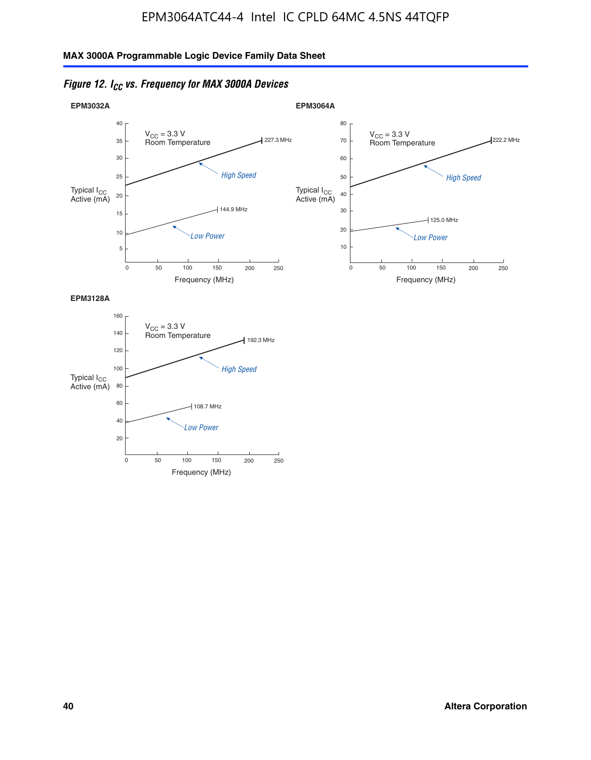



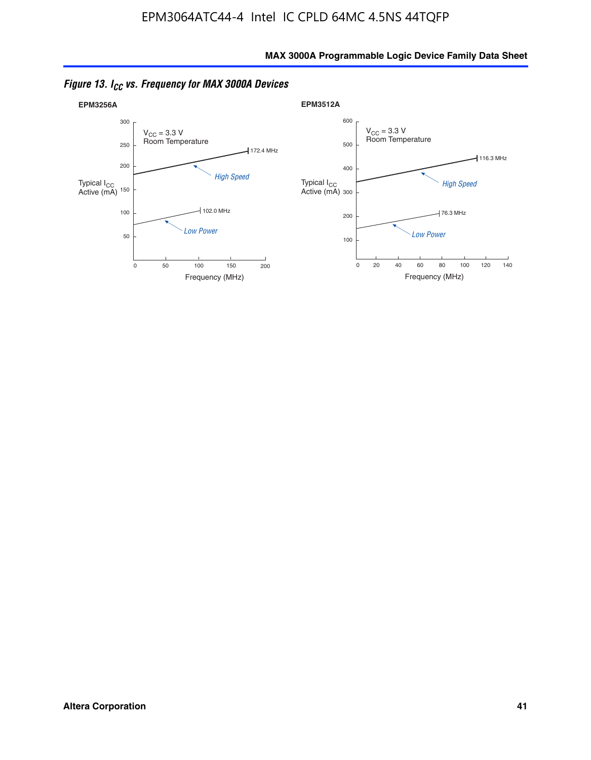

*Figure 13. ICC vs. Frequency for MAX 3000A Devices*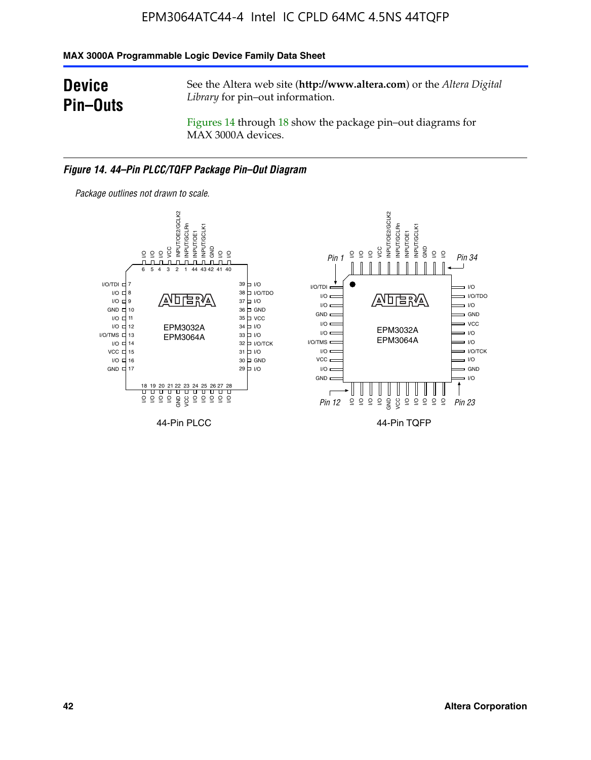### **MAX 3000A Programmable Logic Device Family Data Sheet**

### **Device Pin–Outs**

See the Altera web site (**http://www.altera.com**) or the *Altera Digital Library* for pin–out information.

Figures 14 through 18 show the package pin–out diagrams for MAX 3000A devices.

#### *Figure 14. 44–Pin PLCC/TQFP Package Pin–Out Diagram*



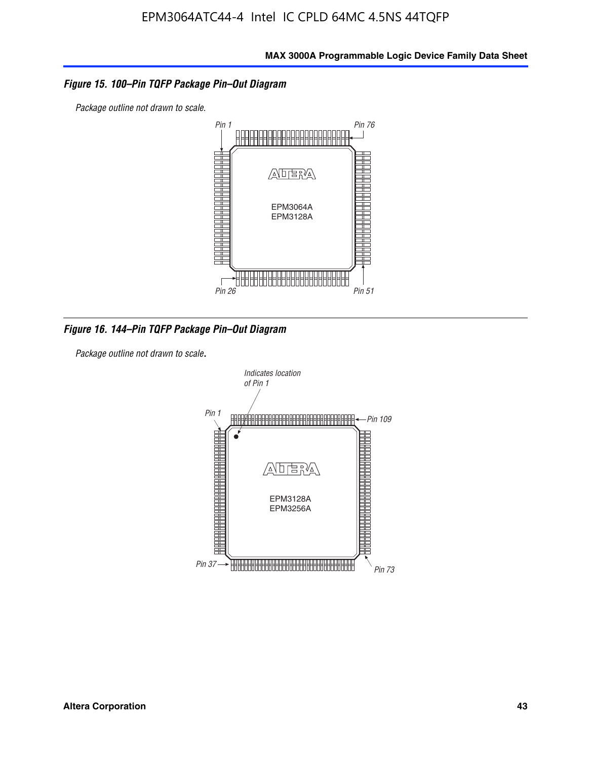### *Figure 15. 100–Pin TQFP Package Pin–Out Diagram*

*Package outline not drawn to scale.*



*Figure 16. 144–Pin TQFP Package Pin–Out Diagram*

*Package outline not drawn to scale*.

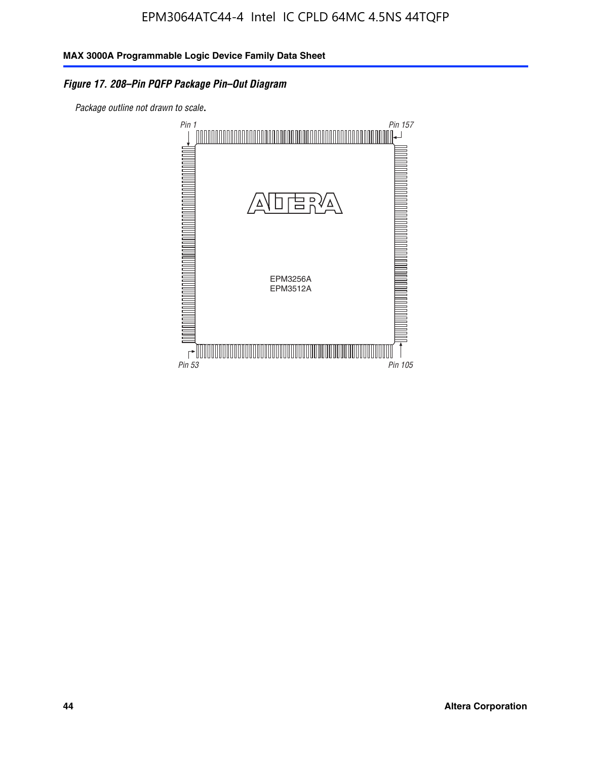### *Figure 17. 208–Pin PQFP Package Pin–Out Diagram*

*Package outline not drawn to scale*.

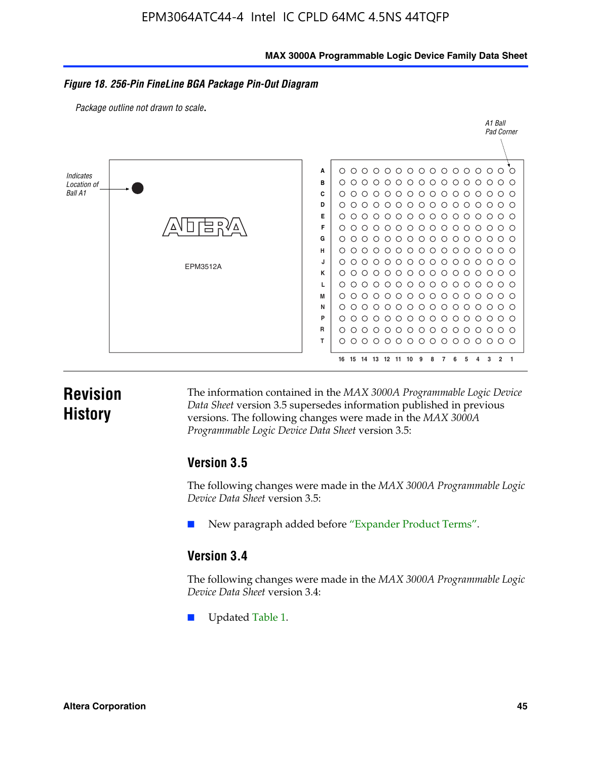#### **MAX 3000A Programmable Logic Device Family Data Sheet**

#### *Figure 18. 256-Pin FineLine BGA Package Pin-Out Diagram*

*Package outline not drawn to scale*.



### **Revision History**

The information contained in the *MAX 3000A Programmable Logic Device Data Sheet* version 3.5 supersedes information published in previous versions. The following changes were made in the *MAX 3000A Programmable Logic Device Data Sheet* version 3.5:

### **Version 3.5**

The following changes were made in the *MAX 3000A Programmable Logic Device Data Sheet* version 3.5:

New paragraph added before "Expander Product Terms".

### **Version 3.4**

The following changes were made in the *MAX 3000A Programmable Logic Device Data Sheet* version 3.4:

Updated Table 1.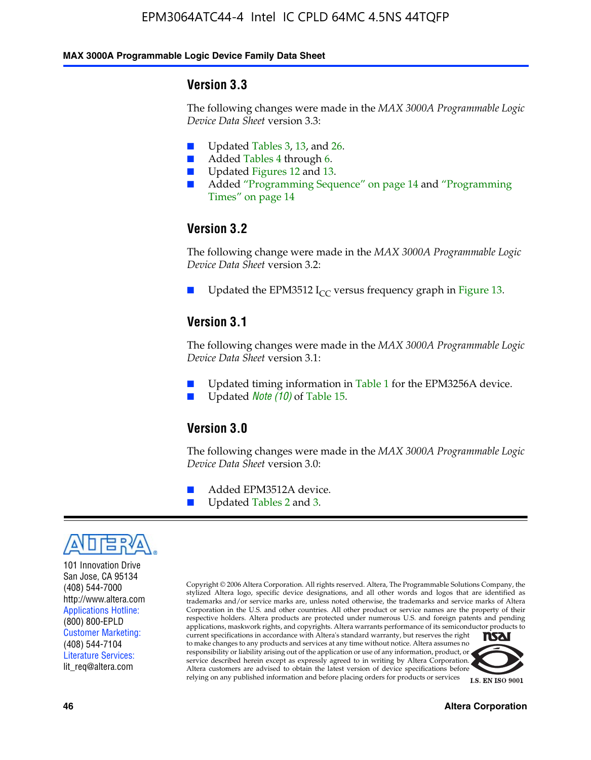#### **MAX 3000A Programmable Logic Device Family Data Sheet**

### **Version 3.3**

The following changes were made in the *MAX 3000A Programmable Logic Device Data Sheet* version 3.3:

- Updated Tables 3, 13, and 26.
- Added Tables 4 through 6.
- Updated Figures 12 and 13.
- Added "Programming Sequence" on page 14 and "Programming Times" on page 14

### **Version 3.2**

The following change were made in the *MAX 3000A Programmable Logic Device Data Sheet* version 3.2:

Updated the EPM3512 I<sub>CC</sub> versus frequency graph in Figure 13.

### **Version 3.1**

The following changes were made in the *MAX 3000A Programmable Logic Device Data Sheet* version 3.1:

- Updated timing information in Table 1 for the EPM3256A device.
- Updated *Note* (10) of Table 15.

### **Version 3.0**

The following changes were made in the *MAX 3000A Programmable Logic Device Data Sheet* version 3.0:

- Added EPM3512A device.
- Updated Tables 2 and 3.



101 Innovation Drive San Jose, CA 95134 (408) 544-7000 http://www.altera.com Applications Hotline: (800) 800-EPLD Customer Marketing: (408) 544-7104 Literature Services: lit\_req@altera.com

Copyright © 2006 Altera Corporation. All rights reserved. Altera, The Programmable Solutions Company, the stylized Altera logo, specific device designations, and all other words and logos that are identified as trademarks and/or service marks are, unless noted otherwise, the trademarks and service marks of Altera Corporation in the U.S. and other countries. All other product or service names are the property of their respective holders. Altera products are protected under numerous U.S. and foreign patents and pending applications, maskwork rights, and copyrights. Altera warrants performance of its semiconductor products to current specifications in accordance with Altera's standard warranty, but reserves the right **NSAI** to make changes to any products and services at any time without notice. Altera assumes no responsibility or liability arising out of the application or use of any information, product, or

service described herein except as expressly agreed to in writing by Altera Corporation. Altera customers are advised to obtain the latest version of device specifications before relying on any published information and before placing orders for products or services